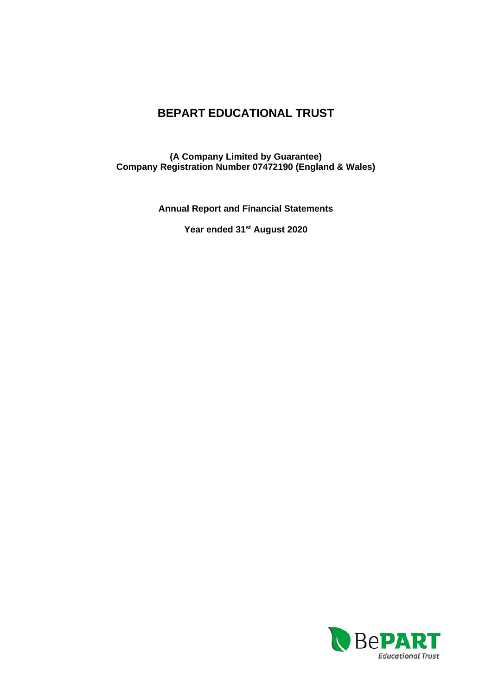# **BEPART EDUCATIONAL TRUST**

**(A Company Limited by Guarantee) Company Registration Number 07472190 (England & Wales)**

**Annual Report and Financial Statements**

**Year ended 31st August 2020**

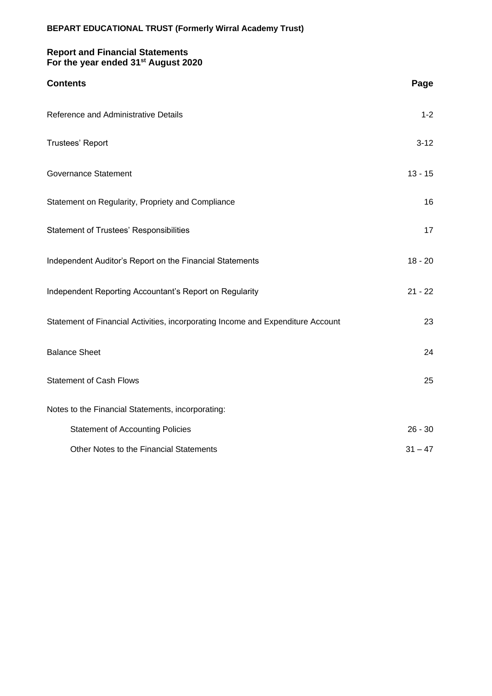# **Report and Financial Statements For the year ended 31st August 2020**

| <b>Contents</b>                                                                 | Page      |
|---------------------------------------------------------------------------------|-----------|
| Reference and Administrative Details                                            | $1 - 2$   |
| Trustees' Report                                                                | $3 - 12$  |
| <b>Governance Statement</b>                                                     | $13 - 15$ |
| Statement on Regularity, Propriety and Compliance                               | 16        |
| <b>Statement of Trustees' Responsibilities</b>                                  | 17        |
| Independent Auditor's Report on the Financial Statements                        | $18 - 20$ |
| Independent Reporting Accountant's Report on Regularity                         | $21 - 22$ |
| Statement of Financial Activities, incorporating Income and Expenditure Account | 23        |
| <b>Balance Sheet</b>                                                            | 24        |
| <b>Statement of Cash Flows</b>                                                  | 25        |
| Notes to the Financial Statements, incorporating:                               |           |
| <b>Statement of Accounting Policies</b>                                         | $26 - 30$ |
| Other Notes to the Financial Statements                                         | $31 - 47$ |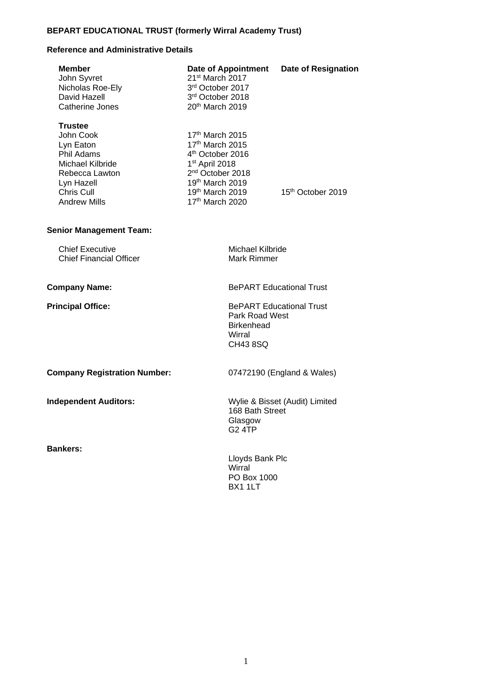# **Reference and Administrative Details**

| <b>Member</b><br>John Syvret<br>Nicholas Roe-Ely<br>David Hazell<br>Catherine Jones                                                             | <b>Date of Appointment</b><br>$21st$ March 2017<br>3rd October 2017<br>3 <sup>rd</sup> October 2018<br>20 <sup>th</sup> March 2019                                                                                                          | <b>Date of Resignation</b>    |
|-------------------------------------------------------------------------------------------------------------------------------------------------|---------------------------------------------------------------------------------------------------------------------------------------------------------------------------------------------------------------------------------------------|-------------------------------|
| <b>Trustee</b><br>John Cook<br>Lyn Eaton<br>Phil Adams<br>Michael Kilbride<br>Rebecca Lawton<br>Lyn Hazell<br>Chris Cull<br><b>Andrew Mills</b> | 17 <sup>th</sup> March 2015<br>17 <sup>th</sup> March 2015<br>4 <sup>th</sup> October 2016<br>$1st$ April 2018<br>2 <sup>nd</sup> October 2018<br>19 <sup>th</sup> March 2019<br>19 <sup>th</sup> March 2019<br>17 <sup>th</sup> March 2020 | 15 <sup>th</sup> October 2019 |

### **Senior Management Team:**

| <b>Chief Executive</b>         | Michael Kilbride |
|--------------------------------|------------------|
| <b>Chief Financial Officer</b> | Mark Rimmer      |

# **Company Name:** BePART Educational Trust

**Principal Office:** BePART Educational Trust Park Road West Birkenhead Wirral CH43 8SQ

**Company Registration Number:** 07472190 (England & Wales)

**Bankers:**

**Independent Auditors:** Wylie & Bisset (Audit) Limited 168 Bath Street **Glasgow** G2 4TP

> Lloyds Bank Plc **Wirral** PO Box 1000 BX1 1LT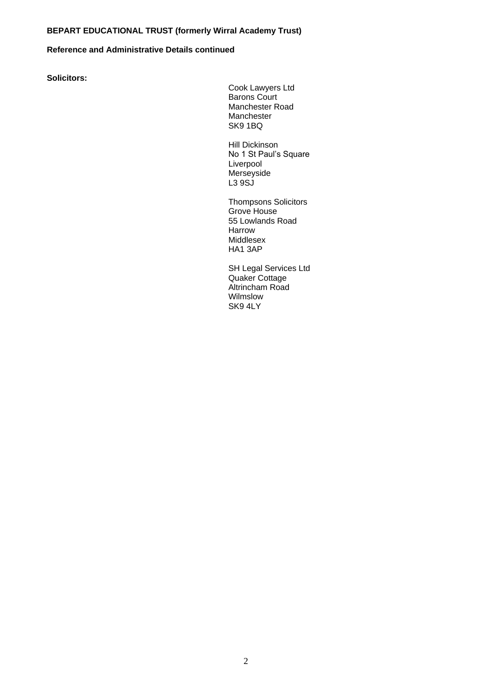# **Reference and Administrative Details continued**

**Solicitors:**

Cook Lawyers Ltd Barons Court Manchester Road Manchester SK9 1BQ

Hill Dickinson No 1 St Paul's Square Liverpool Merseyside  $L39SJ$ 

Thompsons Solicitors Grove House 55 Lowlands Road Harrow Middlesex HA1 3AP

SH Legal Services Ltd Quaker Cottage Altrincham Road Wilmslow SK9 4LY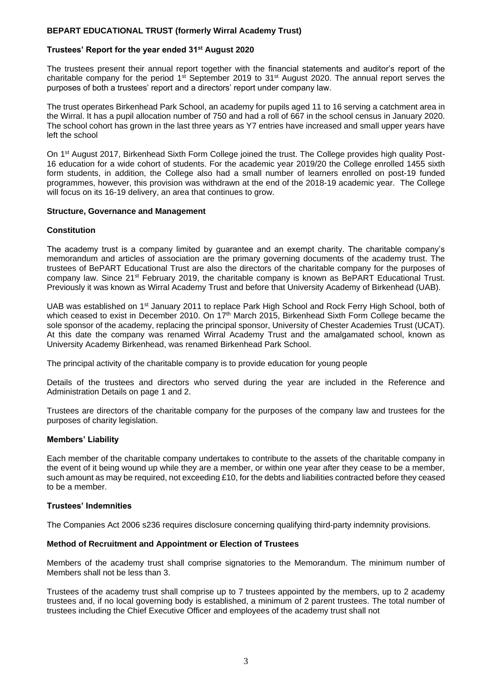# **Trustees' Report for the year ended 31st August 2020**

The trustees present their annual report together with the financial statements and auditor's report of the charitable company for the period 1<sup>st</sup> September 2019 to 31<sup>st</sup> August 2020. The annual report serves the purposes of both a trustees' report and a directors' report under company law.

The trust operates Birkenhead Park School, an academy for pupils aged 11 to 16 serving a catchment area in the Wirral. It has a pupil allocation number of 750 and had a roll of 667 in the school census in January 2020. The school cohort has grown in the last three years as Y7 entries have increased and small upper years have left the school

On 1<sup>st</sup> August 2017, Birkenhead Sixth Form College joined the trust. The College provides high quality Post-16 education for a wide cohort of students. For the academic year 2019/20 the College enrolled 1455 sixth form students, in addition, the College also had a small number of learners enrolled on post-19 funded programmes, however, this provision was withdrawn at the end of the 2018-19 academic year. The College will focus on its 16-19 delivery, an area that continues to grow.

#### **Structure, Governance and Management**

### **Constitution**

The academy trust is a company limited by guarantee and an exempt charity. The charitable company's memorandum and articles of association are the primary governing documents of the academy trust. The trustees of BePART Educational Trust are also the directors of the charitable company for the purposes of company law. Since 21<sup>st</sup> February 2019, the charitable company is known as BePART Educational Trust. Previously it was known as Wirral Academy Trust and before that University Academy of Birkenhead (UAB).

UAB was established on 1st January 2011 to replace Park High School and Rock Ferry High School, both of which ceased to exist in December 2010. On 17<sup>th</sup> March 2015, Birkenhead Sixth Form College became the sole sponsor of the academy, replacing the principal sponsor, University of Chester Academies Trust (UCAT). At this date the company was renamed Wirral Academy Trust and the amalgamated school, known as University Academy Birkenhead, was renamed Birkenhead Park School.

The principal activity of the charitable company is to provide education for young people

Details of the trustees and directors who served during the year are included in the Reference and Administration Details on page 1 and 2.

Trustees are directors of the charitable company for the purposes of the company law and trustees for the purposes of charity legislation.

#### **Members' Liability**

Each member of the charitable company undertakes to contribute to the assets of the charitable company in the event of it being wound up while they are a member, or within one year after they cease to be a member, such amount as may be required, not exceeding £10, for the debts and liabilities contracted before they ceased to be a member.

#### **Trustees' Indemnities**

The Companies Act 2006 s236 requires disclosure concerning qualifying third-party indemnity provisions.

#### **Method of Recruitment and Appointment or Election of Trustees**

Members of the academy trust shall comprise signatories to the Memorandum. The minimum number of Members shall not be less than 3.

Trustees of the academy trust shall comprise up to 7 trustees appointed by the members, up to 2 academy trustees and, if no local governing body is established, a minimum of 2 parent trustees. The total number of trustees including the Chief Executive Officer and employees of the academy trust shall not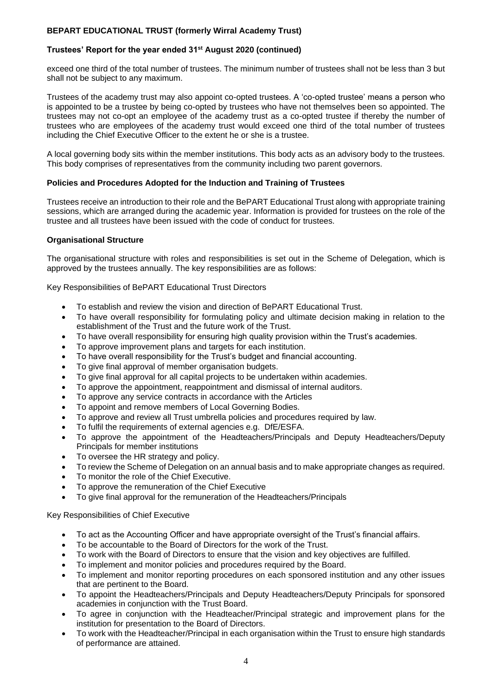# **Trustees' Report for the year ended 31st August 2020 (continued)**

exceed one third of the total number of trustees. The minimum number of trustees shall not be less than 3 but shall not be subject to any maximum.

Trustees of the academy trust may also appoint co-opted trustees. A 'co-opted trustee' means a person who is appointed to be a trustee by being co-opted by trustees who have not themselves been so appointed. The trustees may not co-opt an employee of the academy trust as a co-opted trustee if thereby the number of trustees who are employees of the academy trust would exceed one third of the total number of trustees including the Chief Executive Officer to the extent he or she is a trustee.

A local governing body sits within the member institutions. This body acts as an advisory body to the trustees. This body comprises of representatives from the community including two parent governors.

# **Policies and Procedures Adopted for the Induction and Training of Trustees**

Trustees receive an introduction to their role and the BePART Educational Trust along with appropriate training sessions, which are arranged during the academic year. Information is provided for trustees on the role of the trustee and all trustees have been issued with the code of conduct for trustees.

# **Organisational Structure**

The organisational structure with roles and responsibilities is set out in the Scheme of Delegation, which is approved by the trustees annually. The key responsibilities are as follows:

Key Responsibilities of BePART Educational Trust Directors

- To establish and review the vision and direction of BePART Educational Trust.
- To have overall responsibility for formulating policy and ultimate decision making in relation to the establishment of the Trust and the future work of the Trust.
- To have overall responsibility for ensuring high quality provision within the Trust's academies.
- To approve improvement plans and targets for each institution.
- To have overall responsibility for the Trust's budget and financial accounting.
- To give final approval of member organisation budgets.
- To give final approval for all capital projects to be undertaken within academies.
- To approve the appointment, reappointment and dismissal of internal auditors.
- To approve any service contracts in accordance with the Articles
- To appoint and remove members of Local Governing Bodies.
- To approve and review all Trust umbrella policies and procedures required by law.
- To fulfil the requirements of external agencies e.g. DfE/ESFA.
- To approve the appointment of the Headteachers/Principals and Deputy Headteachers/Deputy Principals for member institutions
- To oversee the HR strategy and policy.
- To review the Scheme of Delegation on an annual basis and to make appropriate changes as required.
- To monitor the role of the Chief Executive.
- To approve the remuneration of the Chief Executive
- To give final approval for the remuneration of the Headteachers/Principals

# Key Responsibilities of Chief Executive

- To act as the Accounting Officer and have appropriate oversight of the Trust's financial affairs.
- To be accountable to the Board of Directors for the work of the Trust.
- To work with the Board of Directors to ensure that the vision and key objectives are fulfilled.
- To implement and monitor policies and procedures required by the Board.
- To implement and monitor reporting procedures on each sponsored institution and any other issues that are pertinent to the Board.
- To appoint the Headteachers/Principals and Deputy Headteachers/Deputy Principals for sponsored academies in conjunction with the Trust Board.
- To agree in conjunction with the Headteacher/Principal strategic and improvement plans for the institution for presentation to the Board of Directors.
- To work with the Headteacher/Principal in each organisation within the Trust to ensure high standards of performance are attained.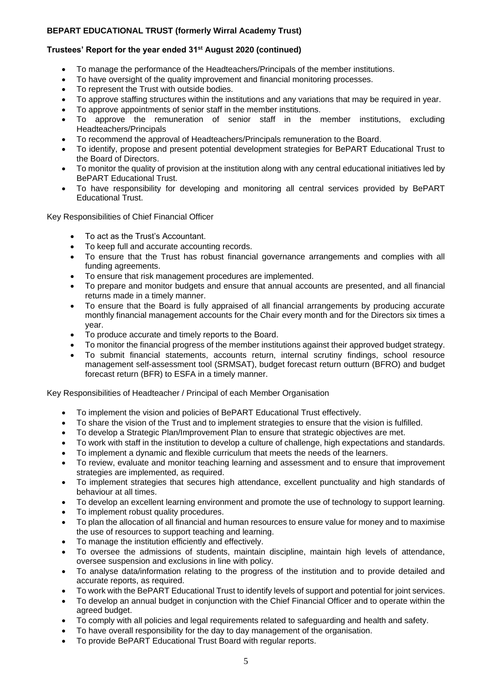# **Trustees' Report for the year ended 31st August 2020 (continued)**

- To manage the performance of the Headteachers/Principals of the member institutions.
- To have oversight of the quality improvement and financial monitoring processes.
- To represent the Trust with outside bodies.
- To approve staffing structures within the institutions and any variations that may be required in year.
- To approve appointments of senior staff in the member institutions.
- To approve the remuneration of senior staff in the member institutions, excluding Headteachers/Principals
- To recommend the approval of Headteachers/Principals remuneration to the Board.
- To identify, propose and present potential development strategies for BePART Educational Trust to the Board of Directors.
- To monitor the quality of provision at the institution along with any central educational initiatives led by BePART Educational Trust.
- To have responsibility for developing and monitoring all central services provided by BePART Educational Trust.

Key Responsibilities of Chief Financial Officer

- To act as the Trust's Accountant.
- To keep full and accurate accounting records.
- To ensure that the Trust has robust financial governance arrangements and complies with all funding agreements.
- To ensure that risk management procedures are implemented.
- To prepare and monitor budgets and ensure that annual accounts are presented, and all financial returns made in a timely manner.
- To ensure that the Board is fully appraised of all financial arrangements by producing accurate monthly financial management accounts for the Chair every month and for the Directors six times a year.
- To produce accurate and timely reports to the Board.
- To monitor the financial progress of the member institutions against their approved budget strategy.
- To submit financial statements, accounts return, internal scrutiny findings, school resource management self-assessment tool (SRMSAT), budget forecast return outturn (BFRO) and budget forecast return (BFR) to ESFA in a timely manner.

Key Responsibilities of Headteacher / Principal of each Member Organisation

- To implement the vision and policies of BePART Educational Trust effectively.
- To share the vision of the Trust and to implement strategies to ensure that the vision is fulfilled.
- To develop a Strategic Plan/Improvement Plan to ensure that strategic objectives are met.
- To work with staff in the institution to develop a culture of challenge, high expectations and standards.
- To implement a dynamic and flexible curriculum that meets the needs of the learners.
- To review, evaluate and monitor teaching learning and assessment and to ensure that improvement strategies are implemented, as required.
- To implement strategies that secures high attendance, excellent punctuality and high standards of behaviour at all times.
- To develop an excellent learning environment and promote the use of technology to support learning.
- To implement robust quality procedures.
- To plan the allocation of all financial and human resources to ensure value for money and to maximise the use of resources to support teaching and learning.
- To manage the institution efficiently and effectively.
- To oversee the admissions of students, maintain discipline, maintain high levels of attendance, oversee suspension and exclusions in line with policy.
- To analyse data/information relating to the progress of the institution and to provide detailed and accurate reports, as required.
- To work with the BePART Educational Trust to identify levels of support and potential for joint services.
- To develop an annual budget in conjunction with the Chief Financial Officer and to operate within the agreed budget.
- To comply with all policies and legal requirements related to safeguarding and health and safety.
- To have overall responsibility for the day to day management of the organisation.
- To provide BePART Educational Trust Board with regular reports.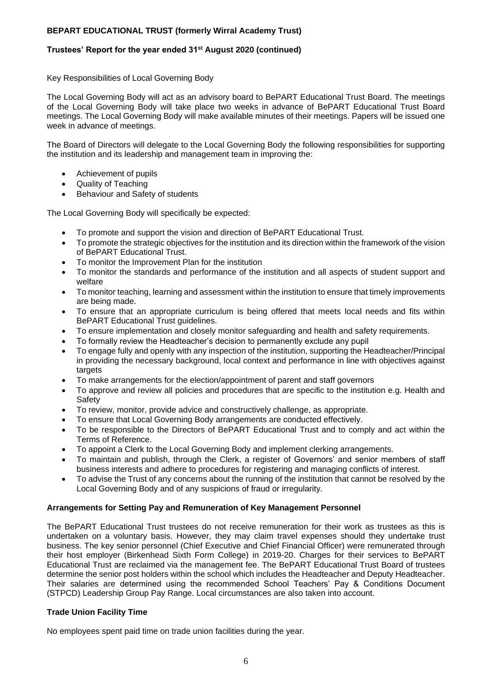# **Trustees' Report for the year ended 31st August 2020 (continued)**

# Key Responsibilities of Local Governing Body

The Local Governing Body will act as an advisory board to BePART Educational Trust Board. The meetings of the Local Governing Body will take place two weeks in advance of BePART Educational Trust Board meetings. The Local Governing Body will make available minutes of their meetings. Papers will be issued one week in advance of meetings.

The Board of Directors will delegate to the Local Governing Body the following responsibilities for supporting the institution and its leadership and management team in improving the:

- Achievement of pupils
- Quality of Teaching
- Behaviour and Safety of students

The Local Governing Body will specifically be expected:

- To promote and support the vision and direction of BePART Educational Trust.
- To promote the strategic objectives for the institution and its direction within the framework of the vision of BePART Educational Trust.
- To monitor the Improvement Plan for the institution
- To monitor the standards and performance of the institution and all aspects of student support and welfare
- To monitor teaching, learning and assessment within the institution to ensure that timely improvements are being made.
- To ensure that an appropriate curriculum is being offered that meets local needs and fits within BePART Educational Trust guidelines.
- To ensure implementation and closely monitor safeguarding and health and safety requirements.
- To formally review the Headteacher's decision to permanently exclude any pupil
- To engage fully and openly with any inspection of the institution, supporting the Headteacher/Principal in providing the necessary background, local context and performance in line with objectives against targets
- To make arrangements for the election/appointment of parent and staff governors
- To approve and review all policies and procedures that are specific to the institution e.g. Health and Safety
- To review, monitor, provide advice and constructively challenge, as appropriate.
- To ensure that Local Governing Body arrangements are conducted effectively.
- To be responsible to the Directors of BePART Educational Trust and to comply and act within the Terms of Reference.
- To appoint a Clerk to the Local Governing Body and implement clerking arrangements.
- To maintain and publish, through the Clerk, a register of Governors' and senior members of staff business interests and adhere to procedures for registering and managing conflicts of interest.
- To advise the Trust of any concerns about the running of the institution that cannot be resolved by the Local Governing Body and of any suspicions of fraud or irregularity.

# **Arrangements for Setting Pay and Remuneration of Key Management Personnel**

The BePART Educational Trust trustees do not receive remuneration for their work as trustees as this is undertaken on a voluntary basis. However, they may claim travel expenses should they undertake trust business. The key senior personnel (Chief Executive and Chief Financial Officer) were remunerated through their host employer (Birkenhead Sixth Form College) in 2019-20. Charges for their services to BePART Educational Trust are reclaimed via the management fee. The BePART Educational Trust Board of trustees determine the senior post holders within the school which includes the Headteacher and Deputy Headteacher. Their salaries are determined using the recommended School Teachers' Pay & Conditions Document (STPCD) Leadership Group Pay Range. Local circumstances are also taken into account.

# **Trade Union Facility Time**

No employees spent paid time on trade union facilities during the year.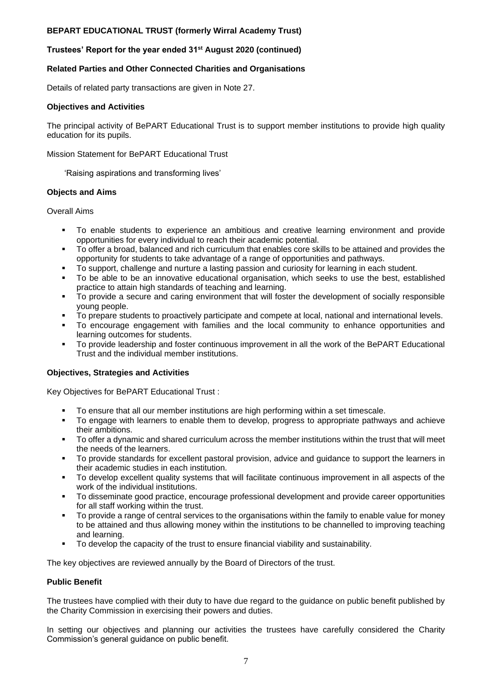# **Trustees' Report for the year ended 31st August 2020 (continued)**

# **Related Parties and Other Connected Charities and Organisations**

Details of related party transactions are given in Note 27.

### **Objectives and Activities**

The principal activity of BePART Educational Trust is to support member institutions to provide high quality education for its pupils.

Mission Statement for BePART Educational Trust

'Raising aspirations and transforming lives'

# **Objects and Aims**

Overall Aims

- To enable students to experience an ambitious and creative learning environment and provide opportunities for every individual to reach their academic potential.
- To offer a broad, balanced and rich curriculum that enables core skills to be attained and provides the opportunity for students to take advantage of a range of opportunities and pathways.
- To support, challenge and nurture a lasting passion and curiosity for learning in each student.
- To be able to be an innovative educational organisation, which seeks to use the best, established practice to attain high standards of teaching and learning.
- To provide a secure and caring environment that will foster the development of socially responsible young people.
- To prepare students to proactively participate and compete at local, national and international levels.
- To encourage engagement with families and the local community to enhance opportunities and learning outcomes for students.
- To provide leadership and foster continuous improvement in all the work of the BePART Educational Trust and the individual member institutions.

# **Objectives, Strategies and Activities**

Key Objectives for BePART Educational Trust :

- To ensure that all our member institutions are high performing within a set timescale.
- To engage with learners to enable them to develop, progress to appropriate pathways and achieve their ambitions.
- To offer a dynamic and shared curriculum across the member institutions within the trust that will meet the needs of the learners.
- To provide standards for excellent pastoral provision, advice and guidance to support the learners in their academic studies in each institution.
- To develop excellent quality systems that will facilitate continuous improvement in all aspects of the work of the individual institutions.
- To disseminate good practice, encourage professional development and provide career opportunities for all staff working within the trust.
- To provide a range of central services to the organisations within the family to enable value for money to be attained and thus allowing money within the institutions to be channelled to improving teaching and learning.
- To develop the capacity of the trust to ensure financial viability and sustainability.

The key objectives are reviewed annually by the Board of Directors of the trust.

# **Public Benefit**

The trustees have complied with their duty to have due regard to the guidance on public benefit published by the Charity Commission in exercising their powers and duties.

In setting our objectives and planning our activities the trustees have carefully considered the Charity Commission's general guidance on public benefit.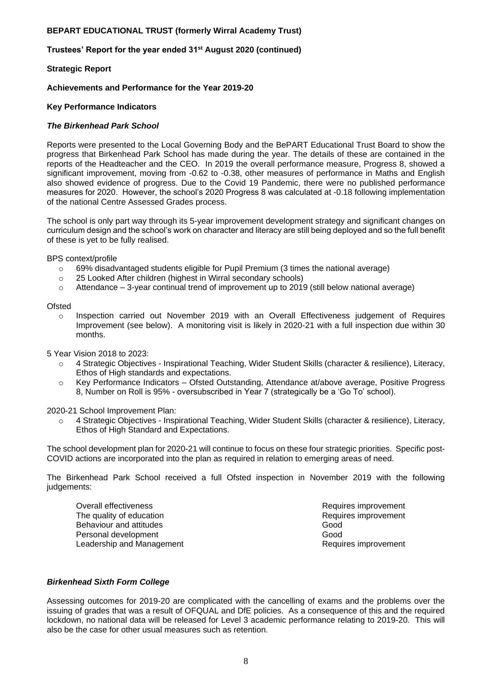### **Trustees' Report for the year ended 31st August 2020 (continued)**

# **Strategic Report**

### **Achievements and Performance for the Year 2019-20**

#### **Key Performance Indicators**

#### *The Birkenhead Park School*

Reports were presented to the Local Governing Body and the BePART Educational Trust Board to show the progress that Birkenhead Park School has made during the year. The details of these are contained in the reports of the Headteacher and the CEO. In 2019 the overall performance measure, Progress 8, showed a significant improvement, moving from -0.62 to -0.38, other measures of performance in Maths and English also showed evidence of progress. Due to the Covid 19 Pandemic, there were no published performance measures for 2020. However, the school's 2020 Progress 8 was calculated at -0.18 following implementation of the national Centre Assessed Grades process.

The school is only part way through its 5-year improvement development strategy and significant changes on curriculum design and the school's work on character and literacy are still being deployed and so the full benefit of these is yet to be fully realised.

BPS context/profile

- $\circ$  69% disadvantaged students eligible for Pupil Premium (3 times the national average)
- o 25 Looked After children (highest in Wirral secondary schools)
- o Attendance 3-year continual trend of improvement up to 2019 (still below national average)

#### **Ofsted**

o Inspection carried out November 2019 with an Overall Effectiveness judgement of Requires Improvement (see below). A monitoring visit is likely in 2020-21 with a full inspection due within 30 months.

5 Year Vision 2018 to 2023:

- o 4 Strategic Objectives Inspirational Teaching, Wider Student Skills (character & resilience), Literacy, Ethos of High standards and expectations.
- o Key Performance Indicators Ofsted Outstanding, Attendance at/above average, Positive Progress 8, Number on Roll is 95% - oversubscribed in Year 7 (strategically be a 'Go To' school).

2020-21 School Improvement Plan:

4 Strategic Objectives - Inspirational Teaching, Wider Student Skills (character & resilience), Literacy, Ethos of High Standard and Expectations.

The school development plan for 2020-21 will continue to focus on these four strategic priorities. Specific post-COVID actions are incorporated into the plan as required in relation to emerging areas of need.

The Birkenhead Park School received a full Ofsted inspection in November 2019 with the following judgements:

Overall effectiveness **Requires** improvement The quality of education The quality of education  $\blacksquare$ Behaviour and attitudes **Good** Personal development Contract Contract Contract Contract Contract Contract Contract Contract Contract Contract Contract Contract Contract Contract Contract Contract Contract Contract Contract Contract Contract Contract Con Leadership and Management **Requires improvement** Requires improvement

#### *Birkenhead Sixth Form College*

Assessing outcomes for 2019-20 are complicated with the cancelling of exams and the problems over the issuing of grades that was a result of OFQUAL and DfE policies. As a consequence of this and the required lockdown. no national data will be released for Level 3 academic performance relating to 2019-20. This will also be the case for other usual measures such as retention.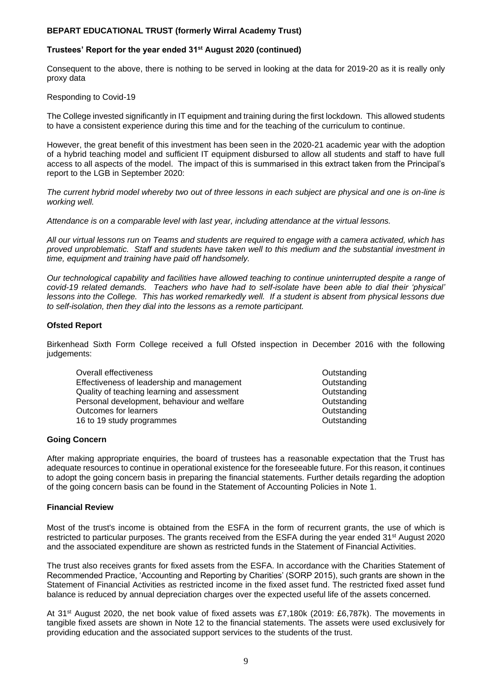### **Trustees' Report for the year ended 31st August 2020 (continued)**

Consequent to the above, there is nothing to be served in looking at the data for 2019-20 as it is really only proxy data

Responding to Covid-19

The College invested significantly in IT equipment and training during the first lockdown. This allowed students to have a consistent experience during this time and for the teaching of the curriculum to continue.

However, the great benefit of this investment has been seen in the 2020-21 academic year with the adoption of a hybrid teaching model and sufficient IT equipment disbursed to allow all students and staff to have full access to all aspects of the model. The impact of this is summarised in this extract taken from the Principal's report to the LGB in September 2020:

*The current hybrid model whereby two out of three lessons in each subject are physical and one is on-line is working well.*

*Attendance is on a comparable level with last year, including attendance at the virtual lessons.*

*All our virtual lessons run on Teams and students are required to engage with a camera activated, which has proved unproblematic. Staff and students have taken well to this medium and the substantial investment in time, equipment and training have paid off handsomely.* 

*Our technological capability and facilities have allowed teaching to continue uninterrupted despite a range of covid-19 related demands. Teachers who have had to self-isolate have been able to dial their 'physical' lessons into the College. This has worked remarkedly well. If a student is absent from physical lessons due to self-isolation, then they dial into the lessons as a remote participant.*

### **Ofsted Report**

Birkenhead Sixth Form College received a full Ofsted inspection in December 2016 with the following judgements:

| Outstanding |
|-------------|
| Outstanding |
| Outstanding |
| Outstanding |
| Outstanding |
| Outstanding |
|             |

#### **Going Concern**

After making appropriate enquiries, the board of trustees has a reasonable expectation that the Trust has adequate resources to continue in operational existence for the foreseeable future. For this reason, it continues to adopt the going concern basis in preparing the financial statements. Further details regarding the adoption of the going concern basis can be found in the Statement of Accounting Policies in Note 1.

#### **Financial Review**

Most of the trust's income is obtained from the ESFA in the form of recurrent grants, the use of which is restricted to particular purposes. The grants received from the ESFA during the year ended 31<sup>st</sup> August 2020 and the associated expenditure are shown as restricted funds in the Statement of Financial Activities.

The trust also receives grants for fixed assets from the ESFA. In accordance with the Charities Statement of Recommended Practice, 'Accounting and Reporting by Charities' (SORP 2015), such grants are shown in the Statement of Financial Activities as restricted income in the fixed asset fund. The restricted fixed asset fund balance is reduced by annual depreciation charges over the expected useful life of the assets concerned.

At 31st August 2020, the net book value of fixed assets was £7,180k (2019: £6,787k). The movements in tangible fixed assets are shown in Note 12 to the financial statements. The assets were used exclusively for providing education and the associated support services to the students of the trust.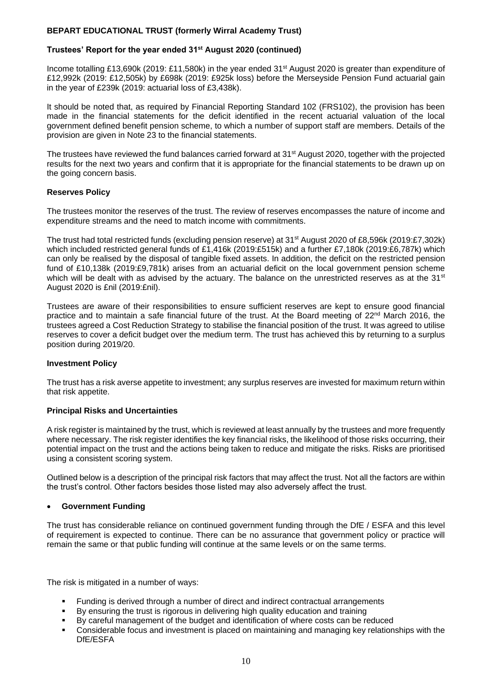### **Trustees' Report for the year ended 31st August 2020 (continued)**

Income totalling £13,690k (2019: £11,580k) in the year ended 31<sup>st</sup> August 2020 is greater than expenditure of £12,992k (2019: £12,505k) by £698k (2019: £925k loss) before the Merseyside Pension Fund actuarial gain in the year of £239k (2019: actuarial loss of £3,438k).

It should be noted that, as required by Financial Reporting Standard 102 (FRS102), the provision has been made in the financial statements for the deficit identified in the recent actuarial valuation of the local government defined benefit pension scheme, to which a number of support staff are members. Details of the provision are given in Note 23 to the financial statements.

The trustees have reviewed the fund balances carried forward at 31<sup>st</sup> August 2020, together with the projected results for the next two years and confirm that it is appropriate for the financial statements to be drawn up on the going concern basis.

#### **Reserves Policy**

The trustees monitor the reserves of the trust. The review of reserves encompasses the nature of income and expenditure streams and the need to match income with commitments.

The trust had total restricted funds (excluding pension reserve) at 31<sup>st</sup> August 2020 of £8,596k (2019:£7,302k) which included restricted general funds of £1,416k (2019:£515k) and a further £7,180k (2019:£6,787k) which can only be realised by the disposal of tangible fixed assets. In addition, the deficit on the restricted pension fund of £10,138k (2019:£9,781k) arises from an actuarial deficit on the local government pension scheme which will be dealt with as advised by the actuary. The balance on the unrestricted reserves as at the 31<sup>st</sup> August 2020 is £nil (2019:£nil).

Trustees are aware of their responsibilities to ensure sufficient reserves are kept to ensure good financial practice and to maintain a safe financial future of the trust. At the Board meeting of 22<sup>nd</sup> March 2016, the trustees agreed a Cost Reduction Strategy to stabilise the financial position of the trust. It was agreed to utilise reserves to cover a deficit budget over the medium term. The trust has achieved this by returning to a surplus position during 2019/20.

#### **Investment Policy**

The trust has a risk averse appetite to investment; any surplus reserves are invested for maximum return within that risk appetite.

#### **Principal Risks and Uncertainties**

A risk register is maintained by the trust, which is reviewed at least annually by the trustees and more frequently where necessary. The risk register identifies the key financial risks, the likelihood of those risks occurring, their potential impact on the trust and the actions being taken to reduce and mitigate the risks. Risks are prioritised using a consistent scoring system.

Outlined below is a description of the principal risk factors that may affect the trust. Not all the factors are within the trust's control. Other factors besides those listed may also adversely affect the trust.

#### • **Government Funding**

The trust has considerable reliance on continued government funding through the DfE / ESFA and this level of requirement is expected to continue. There can be no assurance that government policy or practice will remain the same or that public funding will continue at the same levels or on the same terms.

The risk is mitigated in a number of ways:

- Funding is derived through a number of direct and indirect contractual arrangements
- By ensuring the trust is rigorous in delivering high quality education and training
- By careful management of the budget and identification of where costs can be reduced
- Considerable focus and investment is placed on maintaining and managing key relationships with the DfE/ESFA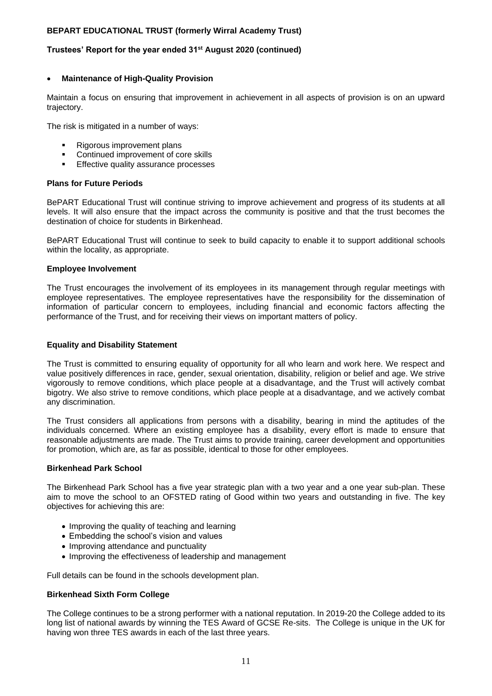### **Trustees' Report for the year ended 31st August 2020 (continued)**

#### • **Maintenance of High-Quality Provision**

Maintain a focus on ensuring that improvement in achievement in all aspects of provision is on an upward trajectory.

The risk is mitigated in a number of ways:

- Rigorous improvement plans
- Continued improvement of core skills
- **Effective quality assurance processes**

### **Plans for Future Periods**

BePART Educational Trust will continue striving to improve achievement and progress of its students at all levels. It will also ensure that the impact across the community is positive and that the trust becomes the destination of choice for students in Birkenhead.

BePART Educational Trust will continue to seek to build capacity to enable it to support additional schools within the locality, as appropriate.

#### **Employee Involvement**

The Trust encourages the involvement of its employees in its management through regular meetings with employee representatives. The employee representatives have the responsibility for the dissemination of information of particular concern to employees, including financial and economic factors affecting the performance of the Trust, and for receiving their views on important matters of policy.

#### **Equality and Disability Statement**

The Trust is committed to ensuring equality of opportunity for all who learn and work here. We respect and value positively differences in race, gender, sexual orientation, disability, religion or belief and age. We strive vigorously to remove conditions, which place people at a disadvantage, and the Trust will actively combat bigotry. We also strive to remove conditions, which place people at a disadvantage, and we actively combat any discrimination.

The Trust considers all applications from persons with a disability, bearing in mind the aptitudes of the individuals concerned. Where an existing employee has a disability, every effort is made to ensure that reasonable adjustments are made. The Trust aims to provide training, career development and opportunities for promotion, which are, as far as possible, identical to those for other employees.

#### **Birkenhead Park School**

The Birkenhead Park School has a five year strategic plan with a two year and a one year sub-plan. These aim to move the school to an OFSTED rating of Good within two years and outstanding in five. The key objectives for achieving this are:

- Improving the quality of teaching and learning
- Embedding the school's vision and values
- Improving attendance and punctuality
- Improving the effectiveness of leadership and management

Full details can be found in the schools development plan.

#### **Birkenhead Sixth Form College**

The College continues to be a strong performer with a national reputation. In 2019-20 the College added to its long list of national awards by winning the TES Award of GCSE Re-sits. The College is unique in the UK for having won three TES awards in each of the last three years.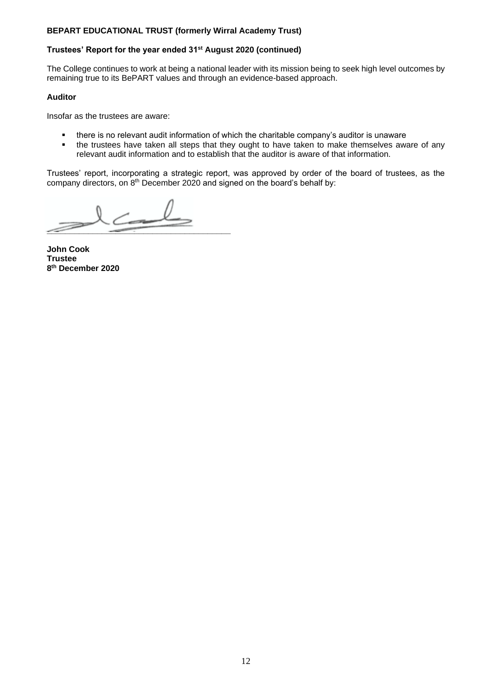# **Trustees' Report for the year ended 31st August 2020 (continued)**

The College continues to work at being a national leader with its mission being to seek high level outcomes by remaining true to its BePART values and through an evidence-based approach.

#### **Auditor**

Insofar as the trustees are aware:

- there is no relevant audit information of which the charitable company's auditor is unaware
- the trustees have taken all steps that they ought to have taken to make themselves aware of any relevant audit information and to establish that the auditor is aware of that information.

Trustees' report, incorporating a strategic report, was approved by order of the board of trustees, as the company directors, on 8<sup>th</sup> December 2020 and signed on the board's behalf by:

**\_\_\_\_\_\_\_\_\_\_\_\_\_\_\_\_\_\_\_\_\_\_\_\_\_\_\_\_\_\_\_\_\_\_\_\_\_\_\_\_**

**John Cook Trustee 8 th December 2020**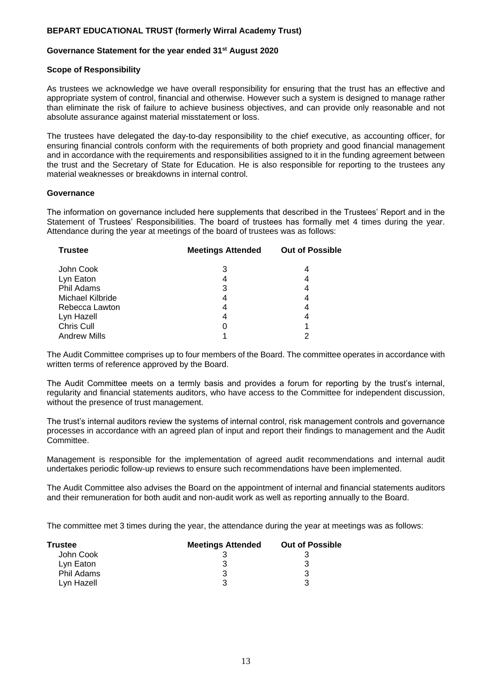### **Governance Statement for the year ended 31st August 2020**

#### **Scope of Responsibility**

As trustees we acknowledge we have overall responsibility for ensuring that the trust has an effective and appropriate system of control, financial and otherwise. However such a system is designed to manage rather than eliminate the risk of failure to achieve business objectives, and can provide only reasonable and not absolute assurance against material misstatement or loss.

The trustees have delegated the day-to-day responsibility to the chief executive, as accounting officer, for ensuring financial controls conform with the requirements of both propriety and good financial management and in accordance with the requirements and responsibilities assigned to it in the funding agreement between the trust and the Secretary of State for Education. He is also responsible for reporting to the trustees any material weaknesses or breakdowns in internal control.

#### **Governance**

The information on governance included here supplements that described in the Trustees' Report and in the Statement of Trustees' Responsibilities. The board of trustees has formally met 4 times during the year. Attendance during the year at meetings of the board of trustees was as follows:

| <b>Trustee</b>      | <b>Meetings Attended</b> | <b>Out of Possible</b> |
|---------------------|--------------------------|------------------------|
| John Cook           | 3                        | 4                      |
| Lyn Eaton           | 4                        | 4                      |
| Phil Adams          | 3                        | 4                      |
| Michael Kilbride    | 4                        | 4                      |
| Rebecca Lawton      | 4                        | 4                      |
| Lyn Hazell          | 4                        | 4                      |
| Chris Cull          | 0                        |                        |
| <b>Andrew Mills</b> |                          | າ                      |

The Audit Committee comprises up to four members of the Board. The committee operates in accordance with written terms of reference approved by the Board.

The Audit Committee meets on a termly basis and provides a forum for reporting by the trust's internal, regularity and financial statements auditors, who have access to the Committee for independent discussion, without the presence of trust management.

The trust's internal auditors review the systems of internal control, risk management controls and governance processes in accordance with an agreed plan of input and report their findings to management and the Audit Committee.

Management is responsible for the implementation of agreed audit recommendations and internal audit undertakes periodic follow-up reviews to ensure such recommendations have been implemented.

The Audit Committee also advises the Board on the appointment of internal and financial statements auditors and their remuneration for both audit and non-audit work as well as reporting annually to the Board.

The committee met 3 times during the year, the attendance during the year at meetings was as follows:

| <b>Trustee</b> | <b>Meetings Attended</b> | <b>Out of Possible</b> |
|----------------|--------------------------|------------------------|
| John Cook      |                          |                        |
| Lyn Eaton      |                          | 3                      |
| Phil Adams     |                          | 3                      |
| Lyn Hazell     |                          | 2                      |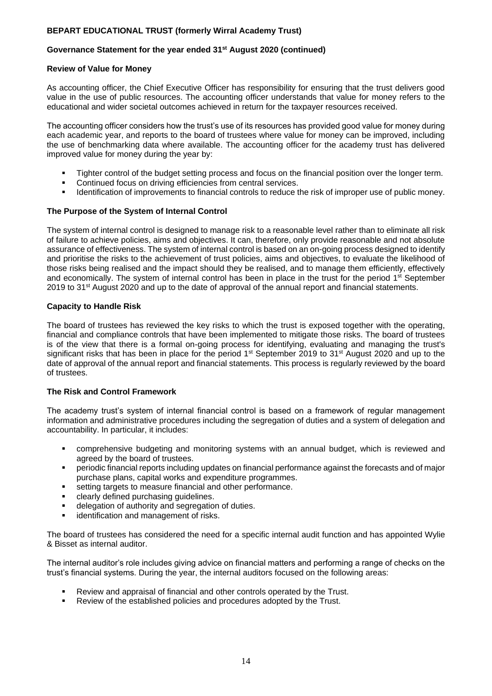# **Governance Statement for the year ended 31st August 2020 (continued)**

### **Review of Value for Money**

As accounting officer, the Chief Executive Officer has responsibility for ensuring that the trust delivers good value in the use of public resources. The accounting officer understands that value for money refers to the educational and wider societal outcomes achieved in return for the taxpayer resources received.

The accounting officer considers how the trust's use of its resources has provided good value for money during each academic year, and reports to the board of trustees where value for money can be improved, including the use of benchmarking data where available. The accounting officer for the academy trust has delivered improved value for money during the year by:

- **·** Tighter control of the budget setting process and focus on the financial position over the longer term.
- Continued focus on driving efficiencies from central services.
- Identification of improvements to financial controls to reduce the risk of improper use of public money.

# **The Purpose of the System of Internal Control**

The system of internal control is designed to manage risk to a reasonable level rather than to eliminate all risk of failure to achieve policies, aims and objectives. It can, therefore, only provide reasonable and not absolute assurance of effectiveness. The system of internal control is based on an on-going process designed to identify and prioritise the risks to the achievement of trust policies, aims and objectives, to evaluate the likelihood of those risks being realised and the impact should they be realised, and to manage them efficiently, effectively and economically. The system of internal control has been in place in the trust for the period 1<sup>st</sup> September 2019 to 31<sup>st</sup> August 2020 and up to the date of approval of the annual report and financial statements.

# **Capacity to Handle Risk**

The board of trustees has reviewed the key risks to which the trust is exposed together with the operating, financial and compliance controls that have been implemented to mitigate those risks. The board of trustees is of the view that there is a formal on-going process for identifying, evaluating and managing the trust's significant risks that has been in place for the period 1<sup>st</sup> September 2019 to 31<sup>st</sup> August 2020 and up to the date of approval of the annual report and financial statements. This process is regularly reviewed by the board of trustees.

# **The Risk and Control Framework**

The academy trust's system of internal financial control is based on a framework of regular management information and administrative procedures including the segregation of duties and a system of delegation and accountability. In particular, it includes:

- comprehensive budgeting and monitoring systems with an annual budget, which is reviewed and agreed by the board of trustees.
- **•** periodic financial reports including updates on financial performance against the forecasts and of major purchase plans, capital works and expenditure programmes.
- setting targets to measure financial and other performance.
- **•** clearly defined purchasing quidelines.
- delegation of authority and segregation of duties.
- identification and management of risks.

The board of trustees has considered the need for a specific internal audit function and has appointed Wylie & Bisset as internal auditor.

The internal auditor's role includes giving advice on financial matters and performing a range of checks on the trust's financial systems. During the year, the internal auditors focused on the following areas:

- Review and appraisal of financial and other controls operated by the Trust.
- Review of the established policies and procedures adopted by the Trust.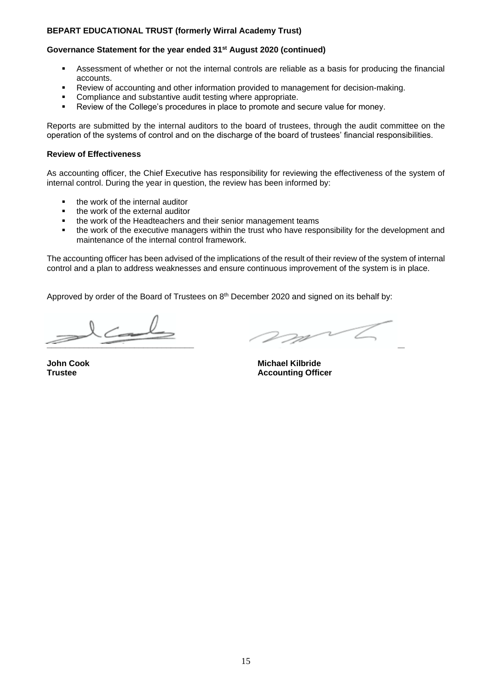# **Governance Statement for the year ended 31st August 2020 (continued)**

- Assessment of whether or not the internal controls are reliable as a basis for producing the financial accounts.
- Review of accounting and other information provided to management for decision-making.
- Compliance and substantive audit testing where appropriate.
- Review of the College's procedures in place to promote and secure value for money.

Reports are submitted by the internal auditors to the board of trustees, through the audit committee on the operation of the systems of control and on the discharge of the board of trustees' financial responsibilities.

# **Review of Effectiveness**

As accounting officer, the Chief Executive has responsibility for reviewing the effectiveness of the system of internal control. During the year in question, the review has been informed by:

- the work of the internal auditor
- the work of the external auditor
- the work of the Headteachers and their senior management teams
- the work of the executive managers within the trust who have responsibility for the development and maintenance of the internal control framework.

The accounting officer has been advised of the implications of the result of their review of the system of internal control and a plan to address weaknesses and ensure continuous improvement of the system is in place.

Approved by order of the Board of Trustees on 8<sup>th</sup> December 2020 and signed on its behalf by:

**\_\_\_\_\_\_\_\_\_\_\_\_\_\_\_\_\_\_\_\_\_\_\_\_\_\_\_\_\_\_\_\_ \_\_\_\_\_\_\_\_\_\_\_\_\_\_\_\_\_\_\_\_\_\_\_\_\_\_\_\_\_\_\_\_**

**John Cook Michael Kilbride Trustee <b>Accounting Officer Accounting Officer**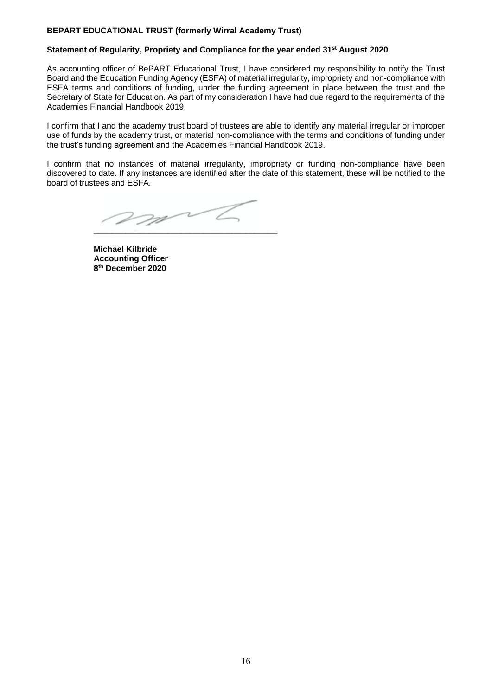# **Statement of Regularity, Propriety and Compliance for the year ended 31st August 2020**

As accounting officer of BePART Educational Trust, I have considered my responsibility to notify the Trust Board and the Education Funding Agency (ESFA) of material irregularity, impropriety and non-compliance with ESFA terms and conditions of funding, under the funding agreement in place between the trust and the Secretary of State for Education. As part of my consideration I have had due regard to the requirements of the Academies Financial Handbook 2019.

I confirm that I and the academy trust board of trustees are able to identify any material irregular or improper use of funds by the academy trust, or material non-compliance with the terms and conditions of funding under the trust's funding agreement and the Academies Financial Handbook 2019.

I confirm that no instances of material irregularity, impropriety or funding non-compliance have been discovered to date. If any instances are identified after the date of this statement, these will be notified to the board of trustees and ESFA.

 $\overline{\phantom{a}}$ **\_\_\_\_\_\_\_\_\_\_\_\_\_\_\_\_\_\_\_\_\_\_\_\_\_\_\_\_\_\_\_\_\_\_\_\_\_\_\_\_**

**Michael Kilbride Accounting Officer 8 th December 2020**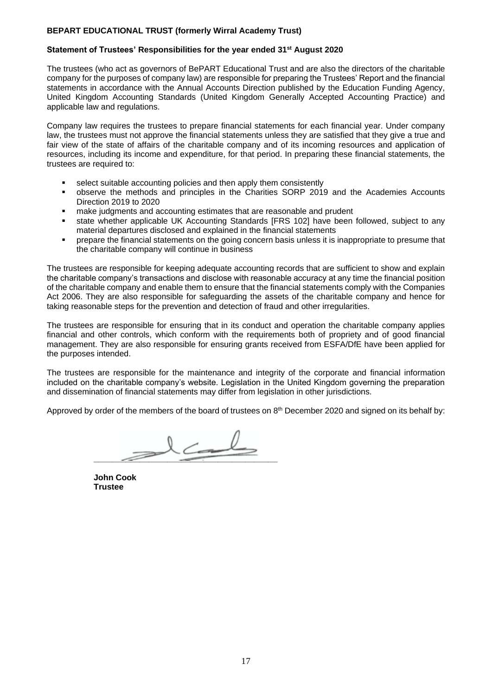# **Statement of Trustees' Responsibilities for the year ended 31st August 2020**

The trustees (who act as governors of BePART Educational Trust and are also the directors of the charitable company for the purposes of company law) are responsible for preparing the Trustees' Report and the financial statements in accordance with the Annual Accounts Direction published by the Education Funding Agency, United Kingdom Accounting Standards (United Kingdom Generally Accepted Accounting Practice) and applicable law and regulations.

Company law requires the trustees to prepare financial statements for each financial year. Under company law, the trustees must not approve the financial statements unless they are satisfied that they give a true and fair view of the state of affairs of the charitable company and of its incoming resources and application of resources, including its income and expenditure, for that period. In preparing these financial statements, the trustees are required to:

- select suitable accounting policies and then apply them consistently
- observe the methods and principles in the Charities SORP 2019 and the Academies Accounts Direction 2019 to 2020
- make judgments and accounting estimates that are reasonable and prudent
- state whether applicable UK Accounting Standards [FRS 102] have been followed, subject to any material departures disclosed and explained in the financial statements
- **•** prepare the financial statements on the going concern basis unless it is inappropriate to presume that the charitable company will continue in business

The trustees are responsible for keeping adequate accounting records that are sufficient to show and explain the charitable company's transactions and disclose with reasonable accuracy at any time the financial position of the charitable company and enable them to ensure that the financial statements comply with the Companies Act 2006. They are also responsible for safeguarding the assets of the charitable company and hence for taking reasonable steps for the prevention and detection of fraud and other irregularities.

The trustees are responsible for ensuring that in its conduct and operation the charitable company applies financial and other controls, which conform with the requirements both of propriety and of good financial management. They are also responsible for ensuring grants received from ESFA/DfE have been applied for the purposes intended.

The trustees are responsible for the maintenance and integrity of the corporate and financial information included on the charitable company's website. Legislation in the United Kingdom governing the preparation and dissemination of financial statements may differ from legislation in other jurisdictions.

Approved by order of the members of the board of trustees on  $8^{\text{th}}$  December 2020 and signed on its behalf by:

 $\sim$ **\_\_\_\_\_\_\_\_\_\_\_\_\_\_\_\_\_\_\_\_\_\_\_\_\_\_\_\_\_\_\_\_\_\_\_\_\_\_\_\_**

**John Cook Trustee**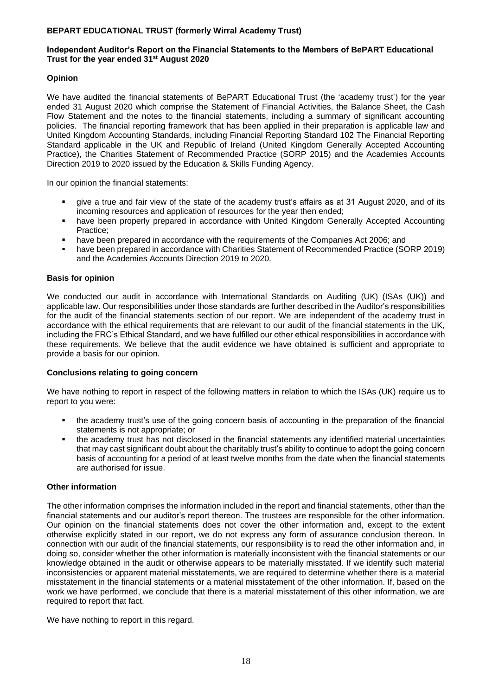#### **Independent Auditor's Report on the Financial Statements to the Members of BePART Educational Trust for the year ended 31st August 2020**

# **Opinion**

We have audited the financial statements of BePART Educational Trust (the 'academy trust') for the year ended 31 August 2020 which comprise the Statement of Financial Activities, the Balance Sheet, the Cash Flow Statement and the notes to the financial statements, including a summary of significant accounting policies. The financial reporting framework that has been applied in their preparation is applicable law and United Kingdom Accounting Standards, including Financial Reporting Standard 102 The Financial Reporting Standard applicable in the UK and Republic of Ireland (United Kingdom Generally Accepted Accounting Practice), the Charities Statement of Recommended Practice (SORP 2015) and the Academies Accounts Direction 2019 to 2020 issued by the Education & Skills Funding Agency.

In our opinion the financial statements:

- give a true and fair view of the state of the academy trust's affairs as at 31 August 2020, and of its incoming resources and application of resources for the year then ended;
- have been properly prepared in accordance with United Kingdom Generally Accepted Accounting Practice;
- have been prepared in accordance with the requirements of the Companies Act 2006; and
- have been prepared in accordance with Charities Statement of Recommended Practice (SORP 2019) and the Academies Accounts Direction 2019 to 2020.

# **Basis for opinion**

We conducted our audit in accordance with International Standards on Auditing (UK) (ISAs (UK)) and applicable law. Our responsibilities under those standards are further described in the Auditor's responsibilities for the audit of the financial statements section of our report. We are independent of the academy trust in accordance with the ethical requirements that are relevant to our audit of the financial statements in the UK, including the FRC's Ethical Standard, and we have fulfilled our other ethical responsibilities in accordance with these requirements. We believe that the audit evidence we have obtained is sufficient and appropriate to provide a basis for our opinion.

# **Conclusions relating to going concern**

We have nothing to report in respect of the following matters in relation to which the ISAs (UK) require us to report to you were:

- the academy trust's use of the going concern basis of accounting in the preparation of the financial statements is not appropriate; or
- the academy trust has not disclosed in the financial statements any identified material uncertainties that may cast significant doubt about the charitably trust's ability to continue to adopt the going concern basis of accounting for a period of at least twelve months from the date when the financial statements are authorised for issue.

# **Other information**

The other information comprises the information included in the report and financial statements, other than the financial statements and our auditor's report thereon. The trustees are responsible for the other information. Our opinion on the financial statements does not cover the other information and, except to the extent otherwise explicitly stated in our report, we do not express any form of assurance conclusion thereon. In connection with our audit of the financial statements, our responsibility is to read the other information and, in doing so, consider whether the other information is materially inconsistent with the financial statements or our knowledge obtained in the audit or otherwise appears to be materially misstated. If we identify such material inconsistencies or apparent material misstatements, we are required to determine whether there is a material misstatement in the financial statements or a material misstatement of the other information. If, based on the work we have performed, we conclude that there is a material misstatement of this other information, we are required to report that fact.

We have nothing to report in this regard.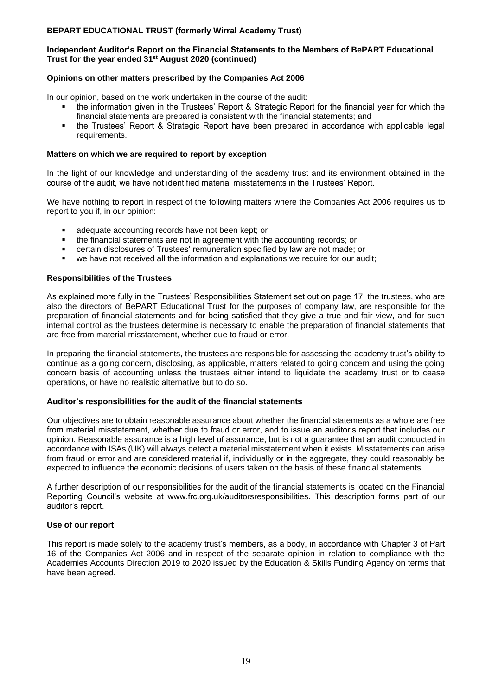### **Independent Auditor's Report on the Financial Statements to the Members of BePART Educational Trust for the year ended 31st August 2020 (continued)**

# **Opinions on other matters prescribed by the Companies Act 2006**

In our opinion, based on the work undertaken in the course of the audit:

- the information given in the Trustees' Report & Strategic Report for the financial year for which the financial statements are prepared is consistent with the financial statements; and
- the Trustees' Report & Strategic Report have been prepared in accordance with applicable legal requirements.

### **Matters on which we are required to report by exception**

In the light of our knowledge and understanding of the academy trust and its environment obtained in the course of the audit, we have not identified material misstatements in the Trustees' Report.

We have nothing to report in respect of the following matters where the Companies Act 2006 requires us to report to you if, in our opinion:

- adequate accounting records have not been kept; or
- the financial statements are not in agreement with the accounting records; or
- certain disclosures of Trustees' remuneration specified by law are not made; or
- we have not received all the information and explanations we require for our audit;

### **Responsibilities of the Trustees**

As explained more fully in the Trustees' Responsibilities Statement set out on page 17, the trustees, who are also the directors of BePART Educational Trust for the purposes of company law, are responsible for the preparation of financial statements and for being satisfied that they give a true and fair view, and for such internal control as the trustees determine is necessary to enable the preparation of financial statements that are free from material misstatement, whether due to fraud or error.

In preparing the financial statements, the trustees are responsible for assessing the academy trust's ability to continue as a going concern, disclosing, as applicable, matters related to going concern and using the going concern basis of accounting unless the trustees either intend to liquidate the academy trust or to cease operations, or have no realistic alternative but to do so.

#### **Auditor's responsibilities for the audit of the financial statements**

Our objectives are to obtain reasonable assurance about whether the financial statements as a whole are free from material misstatement, whether due to fraud or error, and to issue an auditor's report that includes our opinion. Reasonable assurance is a high level of assurance, but is not a guarantee that an audit conducted in accordance with ISAs (UK) will always detect a material misstatement when it exists. Misstatements can arise from fraud or error and are considered material if, individually or in the aggregate, they could reasonably be expected to influence the economic decisions of users taken on the basis of these financial statements.

A further description of our responsibilities for the audit of the financial statements is located on the Financial Reporting Council's website at www.frc.org.uk/auditorsresponsibilities. This description forms part of our auditor's report.

# **Use of our report**

This report is made solely to the academy trust's members, as a body, in accordance with Chapter 3 of Part 16 of the Companies Act 2006 and in respect of the separate opinion in relation to compliance with the Academies Accounts Direction 2019 to 2020 issued by the Education & Skills Funding Agency on terms that have been agreed.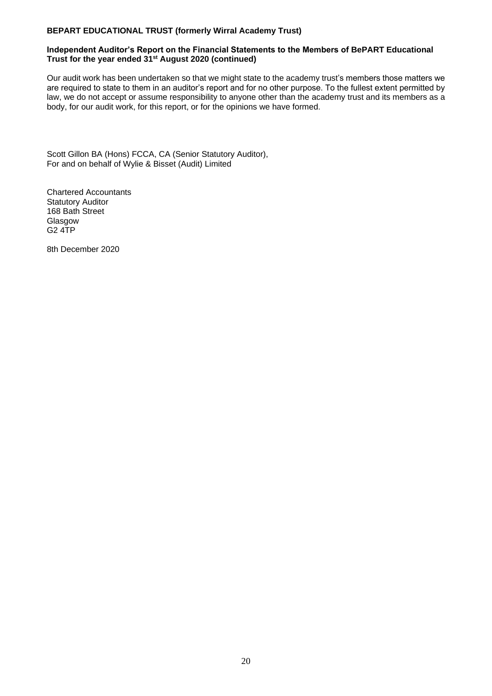### **Independent Auditor's Report on the Financial Statements to the Members of BePART Educational Trust for the year ended 31st August 2020 (continued)**

Our audit work has been undertaken so that we might state to the academy trust's members those matters we are required to state to them in an auditor's report and for no other purpose. To the fullest extent permitted by law, we do not accept or assume responsibility to anyone other than the academy trust and its members as a body, for our audit work, for this report, or for the opinions we have formed.

Scott Gillon BA (Hons) FCCA, CA (Senior Statutory Auditor), For and on behalf of Wylie & Bisset (Audit) Limited

Chartered Accountants Statutory Auditor 168 Bath Street Glasgow G2 4TP

8th December 2020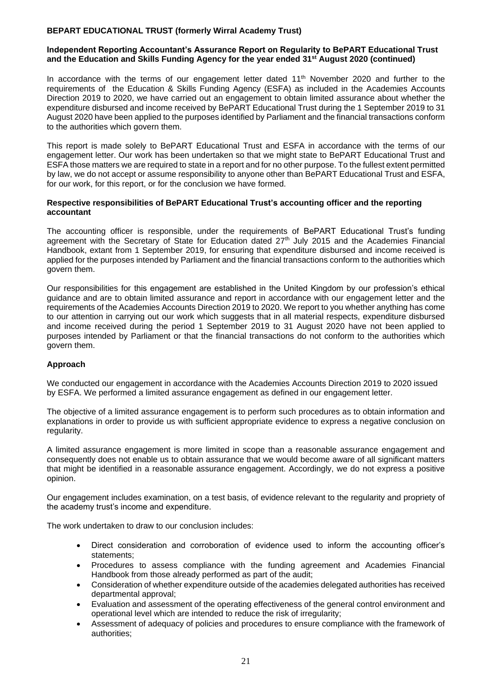#### **Independent Reporting Accountant's Assurance Report on Regularity to BePART Educational Trust and the Education and Skills Funding Agency for the year ended 31st August 2020 (continued)**

In accordance with the terms of our engagement letter dated  $11<sup>th</sup>$  November 2020 and further to the requirements of the Education & Skills Funding Agency (ESFA) as included in the Academies Accounts Direction 2019 to 2020, we have carried out an engagement to obtain limited assurance about whether the expenditure disbursed and income received by BePART Educational Trust during the 1 September 2019 to 31 August 2020 have been applied to the purposes identified by Parliament and the financial transactions conform to the authorities which govern them.

This report is made solely to BePART Educational Trust and ESFA in accordance with the terms of our engagement letter. Our work has been undertaken so that we might state to BePART Educational Trust and ESFA those matters we are required to state in a report and for no other purpose. To the fullest extent permitted by law, we do not accept or assume responsibility to anyone other than BePART Educational Trust and ESFA, for our work, for this report, or for the conclusion we have formed.

#### **Respective responsibilities of BePART Educational Trust's accounting officer and the reporting accountant**

The accounting officer is responsible, under the requirements of BePART Educational Trust's funding agreement with the Secretary of State for Education dated 27<sup>th</sup> July 2015 and the Academies Financial Handbook, extant from 1 September 2019, for ensuring that expenditure disbursed and income received is applied for the purposes intended by Parliament and the financial transactions conform to the authorities which govern them.

Our responsibilities for this engagement are established in the United Kingdom by our profession's ethical guidance and are to obtain limited assurance and report in accordance with our engagement letter and the requirements of the Academies Accounts Direction 2019 to 2020. We report to you whether anything has come to our attention in carrying out our work which suggests that in all material respects, expenditure disbursed and income received during the period 1 September 2019 to 31 August 2020 have not been applied to purposes intended by Parliament or that the financial transactions do not conform to the authorities which govern them.

# **Approach**

We conducted our engagement in accordance with the Academies Accounts Direction 2019 to 2020 issued by ESFA. We performed a limited assurance engagement as defined in our engagement letter.

The objective of a limited assurance engagement is to perform such procedures as to obtain information and explanations in order to provide us with sufficient appropriate evidence to express a negative conclusion on regularity.

A limited assurance engagement is more limited in scope than a reasonable assurance engagement and consequently does not enable us to obtain assurance that we would become aware of all significant matters that might be identified in a reasonable assurance engagement. Accordingly, we do not express a positive opinion.

Our engagement includes examination, on a test basis, of evidence relevant to the regularity and propriety of the academy trust's income and expenditure.

The work undertaken to draw to our conclusion includes:

- Direct consideration and corroboration of evidence used to inform the accounting officer's statements;
- Procedures to assess compliance with the funding agreement and Academies Financial Handbook from those already performed as part of the audit;
- Consideration of whether expenditure outside of the academies delegated authorities has received departmental approval;
- Evaluation and assessment of the operating effectiveness of the general control environment and operational level which are intended to reduce the risk of irregularity;
- Assessment of adequacy of policies and procedures to ensure compliance with the framework of authorities;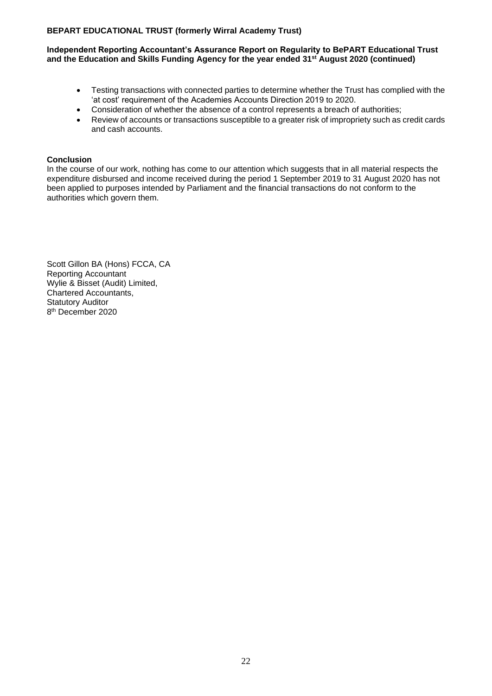### **Independent Reporting Accountant's Assurance Report on Regularity to BePART Educational Trust and the Education and Skills Funding Agency for the year ended 31st August 2020 (continued)**

- Testing transactions with connected parties to determine whether the Trust has complied with the 'at cost' requirement of the Academies Accounts Direction 2019 to 2020.
- Consideration of whether the absence of a control represents a breach of authorities;
- Review of accounts or transactions susceptible to a greater risk of impropriety such as credit cards and cash accounts.

# **Conclusion**

In the course of our work, nothing has come to our attention which suggests that in all material respects the expenditure disbursed and income received during the period 1 September 2019 to 31 August 2020 has not been applied to purposes intended by Parliament and the financial transactions do not conform to the authorities which govern them.

Scott Gillon BA (Hons) FCCA, CA Reporting Accountant Wylie & Bisset (Audit) Limited, Chartered Accountants, Statutory Auditor 8<sup>th</sup> December 2020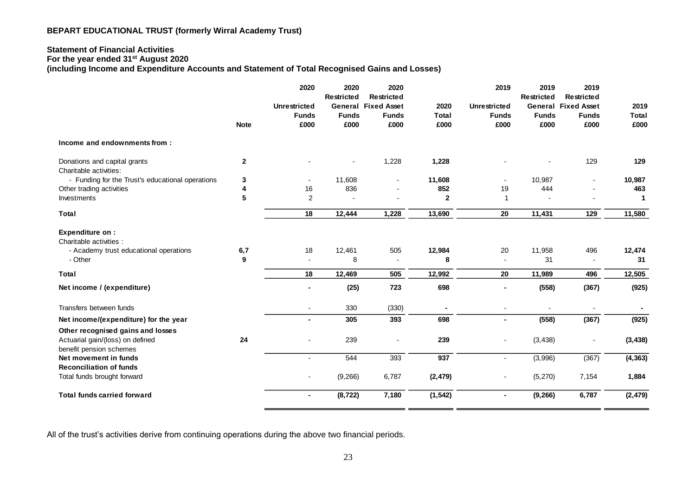# **Statement of Financial Activities**

**For the year ended 31st August 2020**

**(including Income and Expenditure Accounts and Statement of Total Recognised Gains and Losses)**

|                                                                                                  | <b>Note</b>             | 2020<br><b>Unrestricted</b><br><b>Funds</b><br>£000 | 2020<br>Restricted<br><b>Funds</b><br>£000 | 2020<br><b>Restricted</b><br><b>General Fixed Asset</b><br><b>Funds</b><br>£000 | 2020<br><b>Total</b><br>£000 | 2019<br><b>Unrestricted</b><br><b>Funds</b><br>£000 | 2019<br>Restricted<br><b>Funds</b><br>£000 | 2019<br><b>Restricted</b><br><b>General Fixed Asset</b><br><b>Funds</b><br>£000 | 2019<br>Total<br>£000 |
|--------------------------------------------------------------------------------------------------|-------------------------|-----------------------------------------------------|--------------------------------------------|---------------------------------------------------------------------------------|------------------------------|-----------------------------------------------------|--------------------------------------------|---------------------------------------------------------------------------------|-----------------------|
| Income and endownments from:                                                                     |                         |                                                     |                                            |                                                                                 |                              |                                                     |                                            |                                                                                 |                       |
| Donations and capital grants<br>Charitable activities:                                           | $\boldsymbol{2}$        |                                                     |                                            | 1,228                                                                           | 1,228                        |                                                     |                                            | 129                                                                             | 129                   |
| - Funding for the Trust's educational operations                                                 | 3                       | $\blacksquare$                                      | 11,608                                     | $\blacksquare$                                                                  | 11,608                       |                                                     | 10,987                                     |                                                                                 | 10,987                |
| Other trading activities                                                                         | 4                       | 16                                                  | 836                                        |                                                                                 | 852                          | 19                                                  | 444                                        |                                                                                 | 463                   |
| Investments                                                                                      | 5                       | $\overline{2}$                                      |                                            |                                                                                 | $\mathbf{2}$                 | 1                                                   |                                            |                                                                                 | 1                     |
| Total                                                                                            |                         | 18                                                  | 12,444                                     | 1,228                                                                           | 13,690                       | 20                                                  | 11,431                                     | 129                                                                             | 11,580                |
| Expenditure on :<br>Charitable activities :<br>- Academy trust educational operations<br>- Other | 6,7<br>$\boldsymbol{9}$ | 18<br>$\overline{\phantom{a}}$                      | 12,461<br>8                                | 505<br>$\overline{\phantom{a}}$                                                 | 12,984<br>8                  | 20<br>$\overline{\phantom{a}}$                      | 11,958<br>31                               | 496                                                                             | 12,474<br>31          |
| <b>Total</b>                                                                                     |                         | 18                                                  | 12,469                                     | 505                                                                             | 12,992                       | 20                                                  | 11,989                                     | 496                                                                             | 12,505                |
| Net income / (expenditure)                                                                       |                         | $\blacksquare$                                      | (25)                                       | 723                                                                             | 698                          |                                                     | (558)                                      | (367)                                                                           | (925)                 |
| Transfers between funds                                                                          |                         | $\blacksquare$                                      | 330                                        | (330)                                                                           |                              | $\overline{\phantom{a}}$                            |                                            |                                                                                 |                       |
| Net income/(expenditure) for the year                                                            |                         | $\blacksquare$                                      | 305                                        | 393                                                                             | 698                          | $\sim$                                              | (558)                                      | (367)                                                                           | (925)                 |
| Other recognised gains and losses<br>Actuarial gain/(loss) on defined<br>benefit pension schemes | 24                      |                                                     | 239                                        |                                                                                 | 239                          |                                                     | (3, 438)                                   |                                                                                 | (3, 438)              |
| Net movement in funds<br><b>Reconciliation of funds</b>                                          |                         |                                                     | 544                                        | 393                                                                             | 937                          |                                                     | (3,996)                                    | (367)                                                                           | (4, 363)              |
| Total funds brought forward                                                                      |                         | $\blacksquare$                                      | (9,266)                                    | 6,787                                                                           | (2, 479)                     |                                                     | (5, 270)                                   | 7,154                                                                           | 1,884                 |
| <b>Total funds carried forward</b>                                                               |                         | $\blacksquare$                                      | (8, 722)                                   | 7,180                                                                           | (1, 542)                     | $\blacksquare$                                      | (9, 266)                                   | 6,787                                                                           | (2, 479)              |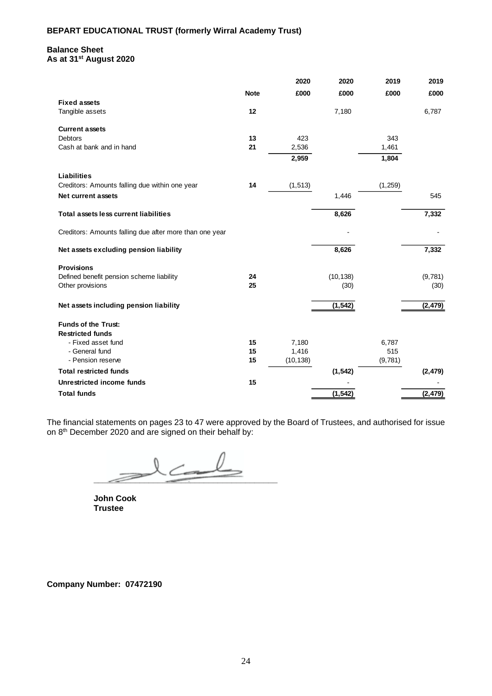#### **Balance Sheet As at 31st August 2020**

|                                                         |             | 2020      | 2020      | 2019    | 2019     |
|---------------------------------------------------------|-------------|-----------|-----------|---------|----------|
|                                                         | <b>Note</b> | £000      | £000      | £000    | £000     |
| <b>Fixed assets</b>                                     |             |           |           |         |          |
| Tangible assets                                         | 12          |           | 7,180     |         | 6,787    |
| <b>Current assets</b>                                   |             |           |           |         |          |
| Debtors                                                 | 13          | 423       |           | 343     |          |
| Cash at bank and in hand                                | 21          | 2,536     |           | 1,461   |          |
|                                                         |             | 2,959     |           | 1,804   |          |
| <b>Liabilities</b>                                      |             |           |           |         |          |
| Creditors: Amounts falling due within one year          | 14          | (1, 513)  |           | (1,259) |          |
| <b>Net current assets</b>                               |             |           | 1,446     |         | 545      |
| <b>Total assets less current liabilities</b>            |             |           | 8,626     |         | 7,332    |
| Creditors: Amounts falling due after more than one year |             |           |           |         |          |
| Net assets excluding pension liability                  |             |           | 8,626     |         | 7,332    |
| <b>Provisions</b>                                       |             |           |           |         |          |
| Defined benefit pension scheme liability                | 24          |           | (10, 138) |         | (9,781)  |
| Other provisions                                        | 25          |           | (30)      |         | (30)     |
| Net assets including pension liability                  |             |           | (1, 542)  |         | (2, 479) |
| <b>Funds of the Trust:</b>                              |             |           |           |         |          |
| <b>Restricted funds</b>                                 |             |           |           |         |          |
| - Fixed asset fund                                      | 15          | 7,180     |           | 6,787   |          |
| - General fund                                          | 15          | 1,416     |           | 515     |          |
| - Pension reserve                                       | 15          | (10, 138) |           | (9,781) |          |
| <b>Total restricted funds</b>                           |             |           | (1, 542)  |         | (2, 479) |
| Unrestricted income funds                               | 15          |           |           |         |          |
| <b>Total funds</b>                                      |             |           | (1, 542)  |         | (2, 479) |

The financial statements on pages 23 to 47 were approved by the Board of Trustees, and authorised for issue on 8<sup>th</sup> December 2020 and are signed on their behalf by:

 $\theta$  $\sim$ **\_\_\_\_\_\_\_\_\_\_\_\_\_\_\_\_\_\_\_\_\_\_\_\_\_\_\_\_\_\_\_\_\_\_\_\_\_\_\_\_**

**John Cook Trustee**

**Company Number: 07472190**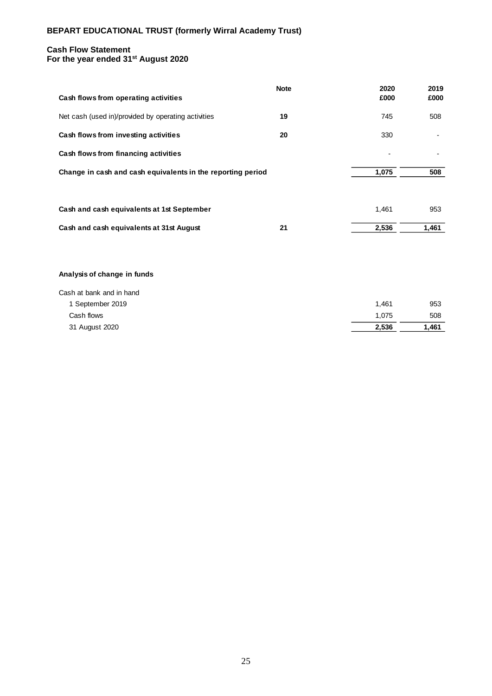### **Cash Flow Statement For the year ended 31st August 2020**

|                                                             | <b>Note</b> | 2020  | 2019  |
|-------------------------------------------------------------|-------------|-------|-------|
| Cash flows from operating activities                        |             | £000  | £000  |
| Net cash (used in)/provided by operating activities         | 19          | 745   | 508   |
| Cash flows from investing activities                        | 20          | 330   |       |
| Cash flows from financing activities                        |             |       |       |
| Change in cash and cash equivalents in the reporting period |             | 1,075 | 508   |
|                                                             |             |       |       |
| Cash and cash equivalents at 1st September                  |             | 1,461 | 953   |
| Cash and cash equivalents at 31st August                    | 21          | 2,536 | 1,461 |
|                                                             |             |       |       |
| Analysis of change in funds                                 |             |       |       |
| Cash at bank and in hand                                    |             |       |       |
| 1 September 2019                                            |             | 1,461 | 953   |

| 31 August 2020 | 2.536   | .461 |
|----------------|---------|------|
| Cash flows     | 1.075   | 508  |
| September 2019 | ا 40. ا | ყეკ  |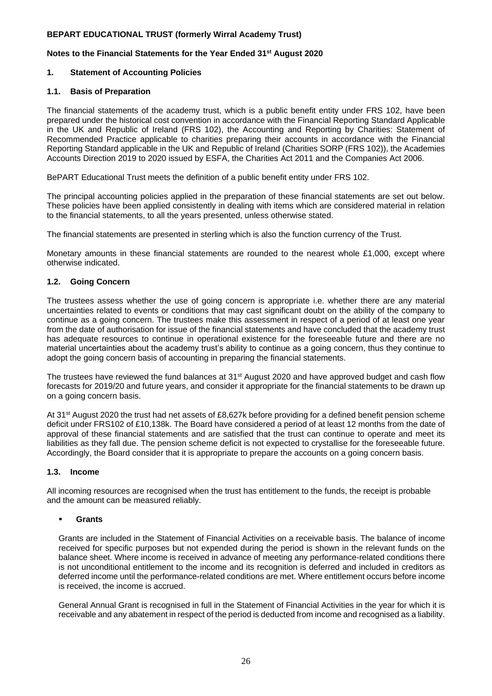# **Notes to the Financial Statements for the Year Ended 31st August 2020**

# **1. Statement of Accounting Policies**

### **1.1. Basis of Preparation**

The financial statements of the academy trust, which is a public benefit entity under FRS 102, have been prepared under the historical cost convention in accordance with the Financial Reporting Standard Applicable in the UK and Republic of Ireland (FRS 102), the Accounting and Reporting by Charities: Statement of Recommended Practice applicable to charities preparing their accounts in accordance with the Financial Reporting Standard applicable in the UK and Republic of Ireland (Charities SORP (FRS 102)), the Academies Accounts Direction 2019 to 2020 issued by ESFA, the Charities Act 2011 and the Companies Act 2006.

BePART Educational Trust meets the definition of a public benefit entity under FRS 102.

The principal accounting policies applied in the preparation of these financial statements are set out below. These policies have been applied consistently in dealing with items which are considered material in relation to the financial statements, to all the years presented, unless otherwise stated.

The financial statements are presented in sterling which is also the function currency of the Trust.

Monetary amounts in these financial statements are rounded to the nearest whole £1,000, except where otherwise indicated.

# **1.2. Going Concern**

The trustees assess whether the use of going concern is appropriate i.e. whether there are any material uncertainties related to events or conditions that may cast significant doubt on the ability of the company to continue as a going concern. The trustees make this assessment in respect of a period of at least one year from the date of authorisation for issue of the financial statements and have concluded that the academy trust has adequate resources to continue in operational existence for the foreseeable future and there are no material uncertainties about the academy trust's ability to continue as a going concern, thus they continue to adopt the going concern basis of accounting in preparing the financial statements.

The trustees have reviewed the fund balances at 31<sup>st</sup> August 2020 and have approved budget and cash flow forecasts for 2019/20 and future years, and consider it appropriate for the financial statements to be drawn up on a going concern basis.

At 31st August 2020 the trust had net assets of £8,627k before providing for a defined benefit pension scheme deficit under FRS102 of £10,138k. The Board have considered a period of at least 12 months from the date of approval of these financial statements and are satisfied that the trust can continue to operate and meet its liabilities as they fall due. The pension scheme deficit is not expected to crystallise for the foreseeable future. Accordingly, the Board consider that it is appropriate to prepare the accounts on a going concern basis.

# **1.3. Income**

All incoming resources are recognised when the trust has entitlement to the funds, the receipt is probable and the amount can be measured reliably.

# Grants

Grants are included in the Statement of Financial Activities on a receivable basis. The balance of income received for specific purposes but not expended during the period is shown in the relevant funds on the balance sheet. Where income is received in advance of meeting any performance-related conditions there is not unconditional entitlement to the income and its recognition is deferred and included in creditors as deferred income until the performance-related conditions are met. Where entitlement occurs before income is received, the income is accrued.

General Annual Grant is recognised in full in the Statement of Financial Activities in the year for which it is receivable and any abatement in respect of the period is deducted from income and recognised as a liability.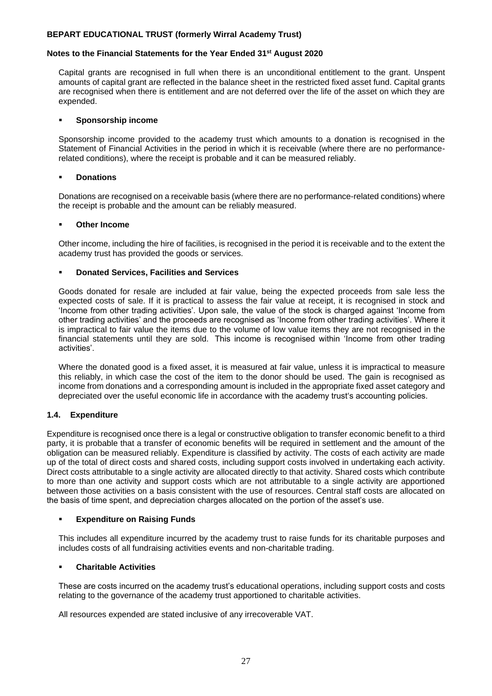# **Notes to the Financial Statements for the Year Ended 31st August 2020**

Capital grants are recognised in full when there is an unconditional entitlement to the grant. Unspent amounts of capital grant are reflected in the balance sheet in the restricted fixed asset fund. Capital grants are recognised when there is entitlement and are not deferred over the life of the asset on which they are expended.

### **Sponsorship income**

Sponsorship income provided to the academy trust which amounts to a donation is recognised in the Statement of Financial Activities in the period in which it is receivable (where there are no performancerelated conditions), where the receipt is probable and it can be measured reliably.

### **Donations**

Donations are recognised on a receivable basis (where there are no performance-related conditions) where the receipt is probable and the amount can be reliably measured.

### **Other Income**

Other income, including the hire of facilities, is recognised in the period it is receivable and to the extent the academy trust has provided the goods or services.

### ▪ **Donated Services, Facilities and Services**

Goods donated for resale are included at fair value, being the expected proceeds from sale less the expected costs of sale. If it is practical to assess the fair value at receipt, it is recognised in stock and 'Income from other trading activities'. Upon sale, the value of the stock is charged against 'Income from other trading activities' and the proceeds are recognised as 'Income from other trading activities'. Where it is impractical to fair value the items due to the volume of low value items they are not recognised in the financial statements until they are sold. This income is recognised within 'Income from other trading activities'.

Where the donated good is a fixed asset, it is measured at fair value, unless it is impractical to measure this reliably, in which case the cost of the item to the donor should be used. The gain is recognised as income from donations and a corresponding amount is included in the appropriate fixed asset category and depreciated over the useful economic life in accordance with the academy trust's accounting policies.

# **1.4. Expenditure**

Expenditure is recognised once there is a legal or constructive obligation to transfer economic benefit to a third party, it is probable that a transfer of economic benefits will be required in settlement and the amount of the obligation can be measured reliably. Expenditure is classified by activity. The costs of each activity are made up of the total of direct costs and shared costs, including support costs involved in undertaking each activity. Direct costs attributable to a single activity are allocated directly to that activity. Shared costs which contribute to more than one activity and support costs which are not attributable to a single activity are apportioned between those activities on a basis consistent with the use of resources. Central staff costs are allocated on the basis of time spent, and depreciation charges allocated on the portion of the asset's use.

#### **Expenditure on Raising Funds**

This includes all expenditure incurred by the academy trust to raise funds for its charitable purposes and includes costs of all fundraising activities events and non-charitable trading.

#### **Charitable Activities**

These are costs incurred on the academy trust's educational operations, including support costs and costs relating to the governance of the academy trust apportioned to charitable activities.

All resources expended are stated inclusive of any irrecoverable VAT.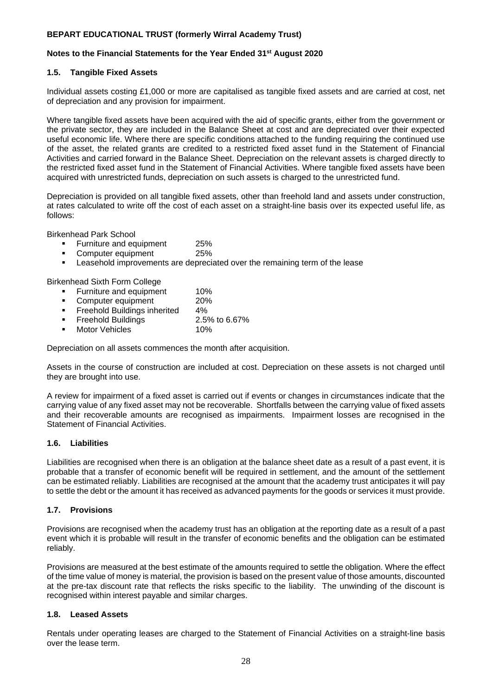# **Notes to the Financial Statements for the Year Ended 31st August 2020**

#### **1.5. Tangible Fixed Assets**

Individual assets costing £1,000 or more are capitalised as tangible fixed assets and are carried at cost, net of depreciation and any provision for impairment.

Where tangible fixed assets have been acquired with the aid of specific grants, either from the government or the private sector, they are included in the Balance Sheet at cost and are depreciated over their expected useful economic life. Where there are specific conditions attached to the funding requiring the continued use of the asset, the related grants are credited to a restricted fixed asset fund in the Statement of Financial Activities and carried forward in the Balance Sheet. Depreciation on the relevant assets is charged directly to the restricted fixed asset fund in the Statement of Financial Activities. Where tangible fixed assets have been acquired with unrestricted funds, depreciation on such assets is charged to the unrestricted fund.

Depreciation is provided on all tangible fixed assets, other than freehold land and assets under construction, at rates calculated to write off the cost of each asset on a straight-line basis over its expected useful life, as follows:

Birkenhead Park School

- **Furniture and equipment** 25%
- Computer equipment 25%
- **EXEL EXERGEDED I** Leasehold improvements are depreciated over the remaining term of the lease

Birkenhead Sixth Form College

- Furniture and equipment 10%
- Computer equipment 20%
- Freehold Buildings inherited 4%
- Freehold Buildings 2.5% to 6.67%
- Motor Vehicles 10%

Depreciation on all assets commences the month after acquisition.

Assets in the course of construction are included at cost. Depreciation on these assets is not charged until they are brought into use.

A review for impairment of a fixed asset is carried out if events or changes in circumstances indicate that the carrying value of any fixed asset may not be recoverable. Shortfalls between the carrying value of fixed assets and their recoverable amounts are recognised as impairments. Impairment losses are recognised in the Statement of Financial Activities.

# **1.6. Liabilities**

Liabilities are recognised when there is an obligation at the balance sheet date as a result of a past event, it is probable that a transfer of economic benefit will be required in settlement, and the amount of the settlement can be estimated reliably. Liabilities are recognised at the amount that the academy trust anticipates it will pay to settle the debt or the amount it has received as advanced payments for the goods or services it must provide.

# **1.7. Provisions**

Provisions are recognised when the academy trust has an obligation at the reporting date as a result of a past event which it is probable will result in the transfer of economic benefits and the obligation can be estimated reliably.

Provisions are measured at the best estimate of the amounts required to settle the obligation. Where the effect of the time value of money is material, the provision is based on the present value of those amounts, discounted at the pre-tax discount rate that reflects the risks specific to the liability. The unwinding of the discount is recognised within interest payable and similar charges.

# **1.8. Leased Assets**

Rentals under operating leases are charged to the Statement of Financial Activities on a straight-line basis over the lease term.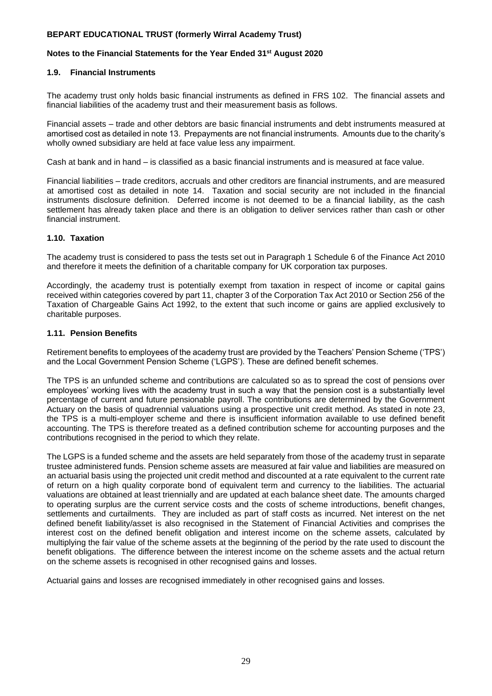### **Notes to the Financial Statements for the Year Ended 31st August 2020**

#### **1.9. Financial Instruments**

The academy trust only holds basic financial instruments as defined in FRS 102. The financial assets and financial liabilities of the academy trust and their measurement basis as follows.

Financial assets – trade and other debtors are basic financial instruments and debt instruments measured at amortised cost as detailed in note 13. Prepayments are not financial instruments. Amounts due to the charity's wholly owned subsidiary are held at face value less any impairment.

Cash at bank and in hand – is classified as a basic financial instruments and is measured at face value.

Financial liabilities – trade creditors, accruals and other creditors are financial instruments, and are measured at amortised cost as detailed in note 14. Taxation and social security are not included in the financial instruments disclosure definition. Deferred income is not deemed to be a financial liability, as the cash settlement has already taken place and there is an obligation to deliver services rather than cash or other financial instrument.

### **1.10. Taxation**

The academy trust is considered to pass the tests set out in Paragraph 1 Schedule 6 of the Finance Act 2010 and therefore it meets the definition of a charitable company for UK corporation tax purposes.

Accordingly, the academy trust is potentially exempt from taxation in respect of income or capital gains received within categories covered by part 11, chapter 3 of the Corporation Tax Act 2010 or Section 256 of the Taxation of Chargeable Gains Act 1992, to the extent that such income or gains are applied exclusively to charitable purposes.

### **1.11. Pension Benefits**

Retirement benefits to employees of the academy trust are provided by the Teachers' Pension Scheme ('TPS') and the Local Government Pension Scheme ('LGPS'). These are defined benefit schemes.

The TPS is an unfunded scheme and contributions are calculated so as to spread the cost of pensions over employees' working lives with the academy trust in such a way that the pension cost is a substantially level percentage of current and future pensionable payroll. The contributions are determined by the Government Actuary on the basis of quadrennial valuations using a prospective unit credit method. As stated in note 23, the TPS is a multi-employer scheme and there is insufficient information available to use defined benefit accounting. The TPS is therefore treated as a defined contribution scheme for accounting purposes and the contributions recognised in the period to which they relate.

The LGPS is a funded scheme and the assets are held separately from those of the academy trust in separate trustee administered funds. Pension scheme assets are measured at fair value and liabilities are measured on an actuarial basis using the projected unit credit method and discounted at a rate equivalent to the current rate of return on a high quality corporate bond of equivalent term and currency to the liabilities. The actuarial valuations are obtained at least triennially and are updated at each balance sheet date. The amounts charged to operating surplus are the current service costs and the costs of scheme introductions, benefit changes, settlements and curtailments. They are included as part of staff costs as incurred. Net interest on the net defined benefit liability/asset is also recognised in the Statement of Financial Activities and comprises the interest cost on the defined benefit obligation and interest income on the scheme assets, calculated by multiplying the fair value of the scheme assets at the beginning of the period by the rate used to discount the benefit obligations. The difference between the interest income on the scheme assets and the actual return on the scheme assets is recognised in other recognised gains and losses.

Actuarial gains and losses are recognised immediately in other recognised gains and losses.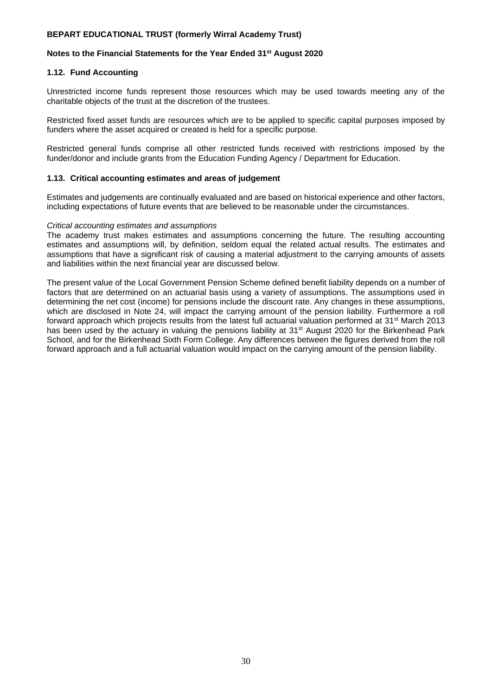#### **Notes to the Financial Statements for the Year Ended 31st August 2020**

#### **1.12. Fund Accounting**

Unrestricted income funds represent those resources which may be used towards meeting any of the charitable objects of the trust at the discretion of the trustees.

Restricted fixed asset funds are resources which are to be applied to specific capital purposes imposed by funders where the asset acquired or created is held for a specific purpose.

Restricted general funds comprise all other restricted funds received with restrictions imposed by the funder/donor and include grants from the Education Funding Agency / Department for Education.

#### **1.13. Critical accounting estimates and areas of judgement**

Estimates and judgements are continually evaluated and are based on historical experience and other factors, including expectations of future events that are believed to be reasonable under the circumstances.

#### *Critical accounting estimates and assumptions*

The academy trust makes estimates and assumptions concerning the future. The resulting accounting estimates and assumptions will, by definition, seldom equal the related actual results. The estimates and assumptions that have a significant risk of causing a material adjustment to the carrying amounts of assets and liabilities within the next financial year are discussed below.

The present value of the Local Government Pension Scheme defined benefit liability depends on a number of factors that are determined on an actuarial basis using a variety of assumptions. The assumptions used in determining the net cost (income) for pensions include the discount rate. Any changes in these assumptions, which are disclosed in Note 24, will impact the carrying amount of the pension liability. Furthermore a roll forward approach which projects results from the latest full actuarial valuation performed at 31st March 2013 has been used by the actuary in valuing the pensions liability at 31<sup>st</sup> August 2020 for the Birkenhead Park School, and for the Birkenhead Sixth Form College. Any differences between the figures derived from the roll forward approach and a full actuarial valuation would impact on the carrying amount of the pension liability.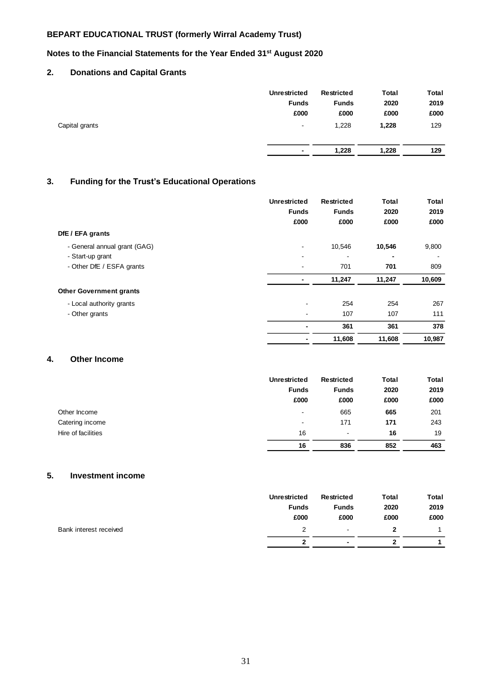# **Notes to the Financial Statements for the Year Ended 31st August 2020**

# **2. Donations and Capital Grants**

|                | <b>Unrestricted</b><br><b>Funds</b><br>£000 | Restricted<br><b>Funds</b><br>£000 | Total<br>2020<br>£000 | <b>Total</b><br>2019<br>£000 |
|----------------|---------------------------------------------|------------------------------------|-----------------------|------------------------------|
| Capital grants | $\blacksquare$                              | 1,228                              | 1,228                 | 129                          |
|                | ٠                                           | 1,228                              | 1,228                 | 129                          |

# **3. Funding for the Trust's Educational Operations**

|                                | <b>Unrestricted</b><br><b>Funds</b><br>£000 | <b>Restricted</b><br><b>Funds</b><br>£000 | <b>Total</b><br>2020<br>£000 | <b>Total</b><br>2019<br>£000 |
|--------------------------------|---------------------------------------------|-------------------------------------------|------------------------------|------------------------------|
| DfE / EFA grants               |                                             |                                           |                              |                              |
| - General annual grant (GAG)   |                                             | 10,546                                    | 10,546                       | 9,800                        |
| - Start-up grant               | $\overline{\phantom{a}}$                    |                                           | $\blacksquare$               | ۰                            |
| - Other DfE / ESFA grants      | $\blacksquare$                              | 701                                       | 701                          | 809                          |
|                                |                                             | 11,247                                    | 11,247                       | 10,609                       |
| <b>Other Government grants</b> |                                             |                                           |                              |                              |
| - Local authority grants       | ۰                                           | 254                                       | 254                          | 267                          |
| - Other grants                 |                                             | 107                                       | 107                          | 111                          |
|                                | $\blacksquare$                              | 361                                       | 361                          | 378                          |
|                                |                                             | 11,608                                    | 11,608                       | 10,987                       |

# **4. Other Income**

|                    | <b>Unrestricted</b>      | <b>Restricted</b> | Total<br>2020<br>£000 | Total |
|--------------------|--------------------------|-------------------|-----------------------|-------|
|                    | <b>Funds</b>             | <b>Funds</b>      |                       | 2019  |
|                    | £000                     | £000              |                       | £000  |
| Other Income       | $\,$                     | 665               | 665                   | 201   |
| Catering income    | $\overline{\phantom{a}}$ | 171               | 171                   | 243   |
| Hire of facilities | 16                       | $\blacksquare$    | 16                    | 19    |
|                    | 16                       | 836               | 852                   | 463   |

# **5. Investment income**

|                        | <b>Unrestricted</b><br><b>Funds</b><br>£000 | Restricted<br><b>Funds</b><br>£000 | Total<br>2020<br>£000 | Total<br>2019<br>£000 |
|------------------------|---------------------------------------------|------------------------------------|-----------------------|-----------------------|
| Bank interest received |                                             |                                    |                       |                       |
|                        |                                             | ۰                                  |                       |                       |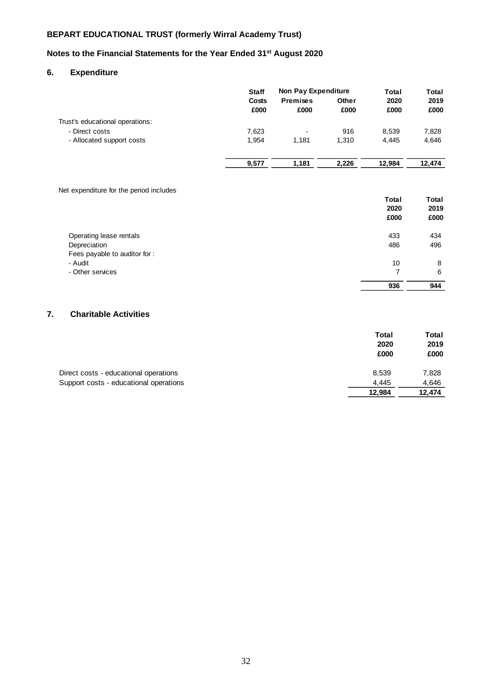# **Notes to the Financial Statements for the Year Ended 31st August 2020**

# **6. Expenditure**

|                                         | <b>Non Pay Expenditure</b><br><b>Staff</b>                       |              | Total        | Total                 |                       |
|-----------------------------------------|------------------------------------------------------------------|--------------|--------------|-----------------------|-----------------------|
|                                         | Costs<br><b>Premises</b><br><b>Other</b><br>£000<br>£000<br>£000 | 2020<br>£000 | 2019<br>£000 |                       |                       |
| Trust's educational operations:         |                                                                  |              |              |                       |                       |
| - Direct costs                          | 7,623                                                            |              | 916          | 8,539                 | 7,828                 |
| - Allocated support costs               | 1,954                                                            | 1,181        | 1,310        | 4,445                 | 4,646                 |
|                                         | 9,577                                                            | 1,181        | 2,226        | 12,984                | 12,474                |
| Net expenditure for the period includes |                                                                  |              |              | Total<br>2020<br>£000 | Total<br>2019<br>£000 |
| Operating lease rentals                 |                                                                  |              |              | 433                   | 434                   |
| Depreciation                            |                                                                  |              |              | 486                   | 496                   |
| Fees payable to auditor for :           |                                                                  |              |              |                       |                       |
| - Audit                                 |                                                                  |              |              | 10                    | 8                     |
| - Other services                        |                                                                  |              |              | $\overline{7}$        | 6                     |
|                                         |                                                                  |              |              | 936                   | 944                   |

# **7. Charitable Activities**

|                                        | Total  | Total  |
|----------------------------------------|--------|--------|
|                                        | 2020   | 2019   |
|                                        | £000   | £000   |
| Direct costs - educational operations  | 8,539  | 7,828  |
| Support costs - educational operations | 4.445  | 4,646  |
|                                        | 12,984 | 12,474 |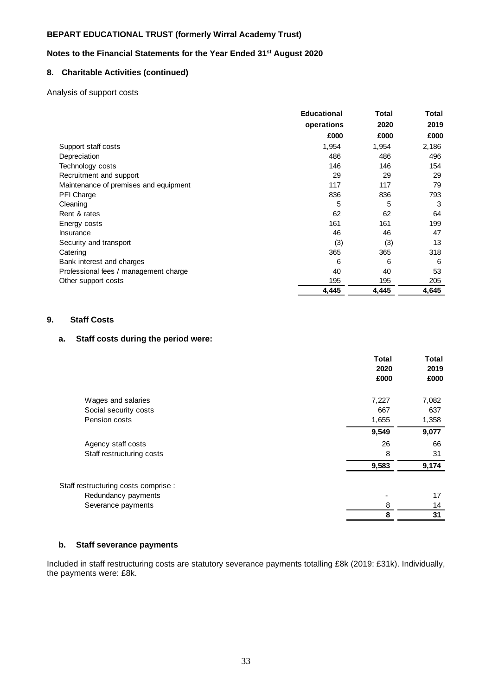### **Notes to the Financial Statements for the Year Ended 31st August 2020**

### **8. Charitable Activities (continued)**

Analysis of support costs

|                                       | <b>Educational</b> | Total | Total |
|---------------------------------------|--------------------|-------|-------|
|                                       | operations         | 2020  | 2019  |
|                                       | £000               | £000  | £000  |
| Support staff costs                   | 1,954              | 1,954 | 2,186 |
| Depreciation                          | 486                | 486   | 496   |
| Technology costs                      | 146                | 146   | 154   |
| Recruitment and support               | 29                 | 29    | 29    |
| Maintenance of premises and equipment | 117                | 117   | 79    |
| <b>PFI Charge</b>                     | 836                | 836   | 793   |
| Cleaning                              | 5                  | 5     | 3     |
| Rent & rates                          | 62                 | 62    | 64    |
| Energy costs                          | 161                | 161   | 199   |
| Insurance                             | 46                 | 46    | 47    |
| Security and transport                | (3)                | (3)   | 13    |
| Catering                              | 365                | 365   | 318   |
| Bank interest and charges             | 6                  | 6     | 6     |
| Professional fees / management charge | 40                 | 40    | 53    |
| Other support costs                   | 195                | 195   | 205   |
|                                       | 4,445              | 4,445 | 4,645 |

# **9. Staff Costs**

# **a. Staff costs during the period were:**

|       | <b>Total</b> |
|-------|--------------|
| 2020  | 2019         |
| £000  | £000         |
| 7,227 | 7,082        |
| 667   | 637          |
| 1,655 | 1,358        |
| 9,549 | 9,077        |
| 26    | 66           |
| 8     | 31           |
| 9,583 | 9,174        |
|       |              |
|       | 17           |
| 8     | 14           |
| 8     | 31           |
|       | <b>Total</b> |

#### **b. Staff severance payments**

Included in staff restructuring costs are statutory severance payments totalling £8k (2019: £31k). Individually, the payments were: £8k.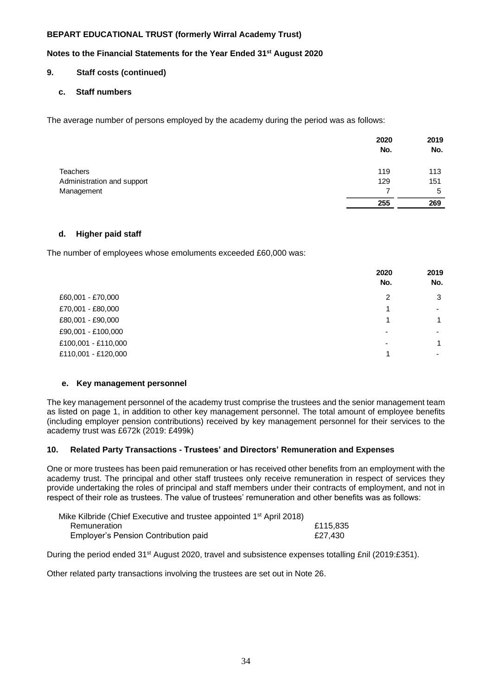# **Notes to the Financial Statements for the Year Ended 31st August 2020**

# **9. Staff costs (continued)**

### **c. Staff numbers**

The average number of persons employed by the academy during the period was as follows:

|                            | 2020<br>No. | 2019<br>No. |
|----------------------------|-------------|-------------|
| <b>Teachers</b>            | 119         | 113         |
| Administration and support | 129         | 151         |
| Management                 |             | 5           |
|                            | 255         | 269         |

### **d. Higher paid staff**

The number of employees whose emoluments exceeded £60,000 was:

|                     | 2020                     | 2019 |
|---------------------|--------------------------|------|
|                     | No.                      | No.  |
| £60,001 - £70,000   | 2                        | 3    |
| £70,001 - £80,000   | 1                        | ٠    |
| £80,001 - £90,000   | 1                        |      |
| £90,001 - £100,000  | ۰                        | ۰    |
| £100,001 - £110,000 | $\overline{\phantom{0}}$ |      |
| £110,001 - £120,000 | 1                        | ۰    |

#### **e. Key management personnel**

The key management personnel of the academy trust comprise the trustees and the senior management team as listed on page 1, in addition to other key management personnel. The total amount of employee benefits (including employer pension contributions) received by key management personnel for their services to the academy trust was £672k (2019: £499k)

# **10. Related Party Transactions - Trustees' and Directors' Remuneration and Expenses**

One or more trustees has been paid remuneration or has received other benefits from an employment with the academy trust. The principal and other staff trustees only receive remuneration in respect of services they provide undertaking the roles of principal and staff members under their contracts of employment, and not in respect of their role as trustees. The value of trustees' remuneration and other benefits was as follows:

| Mike Kilbride (Chief Executive and trustee appointed 1 <sup>st</sup> April 2018) |          |
|----------------------------------------------------------------------------------|----------|
| Remuneration                                                                     | £115.835 |
| Emplover's Pension Contribution paid                                             | £27.430  |

During the period ended 31<sup>st</sup> August 2020, travel and subsistence expenses totalling £nil (2019:£351).

Other related party transactions involving the trustees are set out in Note 26.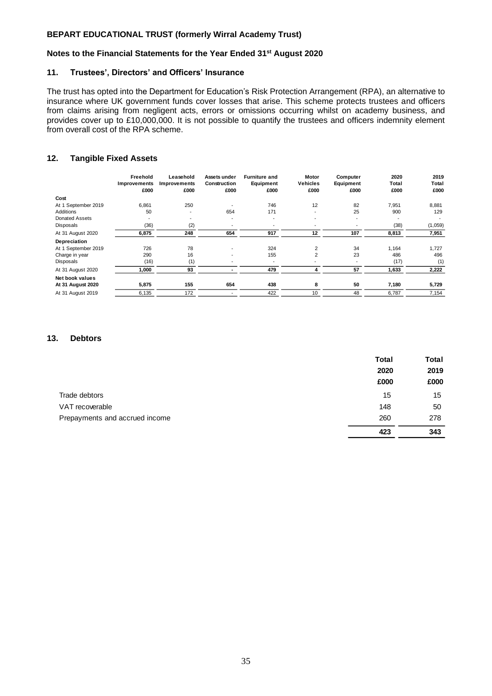### **Notes to the Financial Statements for the Year Ended 31st August 2020**

#### **11. Trustees', Directors' and Officers' Insurance**

The trust has opted into the Department for Education's Risk Protection Arrangement (RPA), an alternative to insurance where UK government funds cover losses that arise. This scheme protects trustees and officers from claims arising from negligent acts, errors or omissions occurring whilst on academy business, and provides cover up to £10,000,000. It is not possible to quantify the trustees and officers indemnity element from overall cost of the RPA scheme.

# **12. Tangible Fixed Assets**

|                     | Freehold<br>Improvements<br>£000 | Leasehold<br>Improvements<br>£000 | Assets under<br>Construction<br>£000 | <b>Furniture and</b><br>Equipment<br>£000 | Motor<br><b>Vehicles</b><br>£000 | Computer<br>Equipment<br>£000 | 2020<br>Total<br>£000 | 2019<br>Total<br>£000 |
|---------------------|----------------------------------|-----------------------------------|--------------------------------------|-------------------------------------------|----------------------------------|-------------------------------|-----------------------|-----------------------|
| Cost                |                                  |                                   |                                      |                                           |                                  |                               |                       |                       |
| At 1 September 2019 | 6,861                            | 250                               |                                      | 746                                       | 12                               | 82                            | 7,951                 | 8,881                 |
| Additions           | 50                               | $\blacksquare$                    | 654                                  | 171                                       | $\overline{\phantom{a}}$         | 25                            | 900                   | 129                   |
| Donated Assets      |                                  |                                   | $\qquad \qquad \blacksquare$         | $\overline{\phantom{a}}$                  |                                  | $\overline{\phantom{a}}$      |                       |                       |
| <b>Disposals</b>    | (36)                             | (2)                               |                                      |                                           |                                  | $\overline{\phantom{a}}$      | (38)                  | (1,059)               |
| At 31 August 2020   | 6,875                            | 248                               | 654                                  | 917                                       | 12                               | 107                           | 8,813                 | 7,951                 |
| Depreciation        |                                  |                                   |                                      |                                           |                                  |                               |                       |                       |
| At 1 September 2019 | 726                              | 78                                | $\overline{\phantom{a}}$             | 324                                       | $\overline{2}$                   | 34                            | 1,164                 | 1,727                 |
| Charge in year      | 290                              | 16                                | $\overline{\phantom{0}}$             | 155                                       | $\overline{2}$                   | 23                            | 486                   | 496                   |
| Disposals           | (16)                             | (1)                               |                                      |                                           |                                  |                               | (17)                  | (1)                   |
| At 31 August 2020   | 1,000                            | 93                                |                                      | 479                                       | 4                                | 57                            | 1,633                 | 2,222                 |
| Net book values     |                                  |                                   |                                      |                                           |                                  |                               |                       |                       |
| At 31 August 2020   | 5,875                            | 155                               | 654                                  | 438                                       | 8                                | 50                            | 7,180                 | 5,729                 |
| At 31 August 2019   | 6,135                            | 172                               |                                      | 422                                       | 10                               | 48                            | 6,787                 | 7,154                 |
|                     |                                  |                                   |                                      |                                           |                                  |                               |                       |                       |

### **13. Debtors**

|                                | Total | <b>Total</b> |
|--------------------------------|-------|--------------|
|                                | 2020  | 2019         |
|                                | £000  | £000         |
| Trade debtors                  | 15    | 15           |
| VAT recoverable                | 148   | 50           |
| Prepayments and accrued income | 260   | 278          |
|                                | 423   | 343          |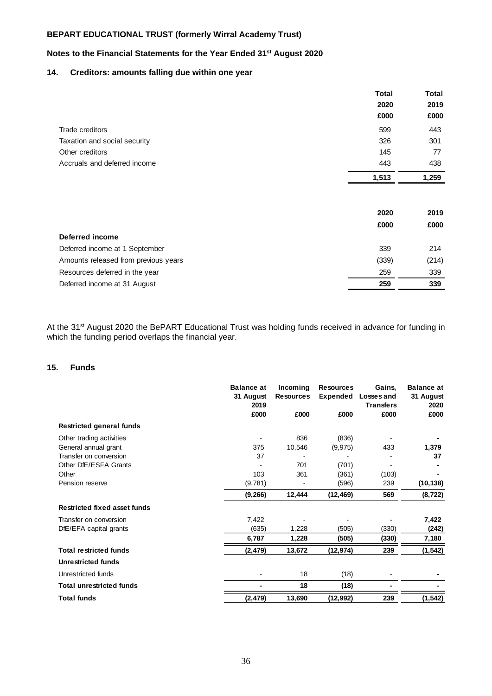# **Notes to the Financial Statements for the Year Ended 31st August 2020**

# **14. Creditors: amounts falling due within one year**

|                                      | <b>Total</b> | Total |
|--------------------------------------|--------------|-------|
|                                      | 2020         | 2019  |
|                                      | £000         | £000  |
| Trade creditors                      | 599          | 443   |
| Taxation and social security         | 326          | 301   |
| Other creditors                      | 145          | 77    |
| Accruals and deferred income         | 443          | 438   |
|                                      | 1,513        | 1,259 |
|                                      | 2020         | 2019  |
|                                      | £000         | £000  |
| Deferred income                      |              |       |
| Deferred income at 1 September       | 339          | 214   |
| Amounts released from previous years | (339)        | (214) |
| Resources deferred in the year       | 259          | 339   |
| Deferred income at 31 August         | 259          | 339   |

At the 31<sup>st</sup> August 2020 the BePART Educational Trust was holding funds received in advance for funding in which the funding period overlaps the financial year.

# **15. Funds**

|                                     | <b>Balance at</b><br>31 August<br>2019 | Incoming<br><b>Resources</b> | <b>Resources</b><br><b>Expended</b> | Gains,<br>Losses and<br><b>Transfers</b> | <b>Balance at</b><br>31 August<br>2020 |
|-------------------------------------|----------------------------------------|------------------------------|-------------------------------------|------------------------------------------|----------------------------------------|
|                                     | £000                                   | £000                         | £000                                | £000                                     | £000                                   |
| <b>Restricted general funds</b>     |                                        |                              |                                     |                                          |                                        |
| Other trading activities            |                                        | 836                          | (836)                               |                                          |                                        |
| General annual grant                | 375                                    | 10,546                       | (9, 975)                            | 433                                      | 1,379                                  |
| Transfer on conversion              | 37                                     |                              |                                     |                                          | 37                                     |
| Other DfE/ESFA Grants               |                                        | 701                          | (701)                               |                                          |                                        |
| Other                               | 103                                    | 361                          | (361)                               | (103)                                    |                                        |
| Pension reserve                     | (9,781)                                |                              | (596)                               | 239                                      | (10, 138)                              |
|                                     | (9, 266)                               | 12,444                       | (12, 469)                           | 569                                      | (8, 722)                               |
| <b>Restricted fixed asset funds</b> |                                        |                              |                                     |                                          |                                        |
| Transfer on conversion              | 7,422                                  |                              |                                     |                                          | 7,422                                  |
| DfE/EFA capital grants              | (635)                                  | 1,228                        | (505)                               | (330)                                    | (242)                                  |
|                                     | 6,787                                  | 1,228                        | (505)                               | (330)                                    | 7,180                                  |
| <b>Total restricted funds</b>       | (2, 479)                               | 13,672                       | (12, 974)                           | 239                                      | (1, 542)                               |
| <b>Unrestricted funds</b>           |                                        |                              |                                     |                                          |                                        |
| Unrestricted funds                  |                                        | 18                           | (18)                                |                                          |                                        |
| <b>Total unrestricted funds</b>     |                                        | 18                           | (18)                                |                                          |                                        |
| <b>Total funds</b>                  | (2, 479)                               | 13,690                       | (12,992)                            | 239                                      | (1, 542)                               |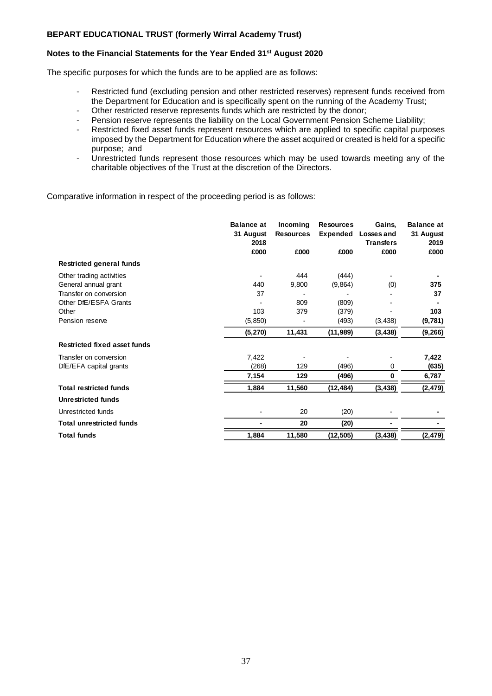#### **Notes to the Financial Statements for the Year Ended 31st August 2020**

The specific purposes for which the funds are to be applied are as follows:

- Restricted fund (excluding pension and other restricted reserves) represent funds received from the Department for Education and is specifically spent on the running of the Academy Trust;
- Other restricted reserve represents funds which are restricted by the donor;
- Pension reserve represents the liability on the Local Government Pension Scheme Liability;
- Restricted fixed asset funds represent resources which are applied to specific capital purposes imposed by the Department for Education where the asset acquired or created is held for a specific purpose; and
- Unrestricted funds represent those resources which may be used towards meeting any of the charitable objectives of the Trust at the discretion of the Directors.

Comparative information in respect of the proceeding period is as follows:

|                                     | <b>Balance at</b><br>31 August<br>2018 | Incoming<br><b>Resources</b> | <b>Resources</b><br><b>Expended</b> | Gains,<br>Losses and<br><b>Transfers</b> | <b>Balance at</b><br>31 August<br>2019 |
|-------------------------------------|----------------------------------------|------------------------------|-------------------------------------|------------------------------------------|----------------------------------------|
|                                     | £000                                   | £000                         | £000                                | £000                                     | £000                                   |
| Restricted general funds            |                                        |                              |                                     |                                          |                                        |
| Other trading activities            |                                        | 444                          | (444)                               |                                          |                                        |
| General annual grant                | 440                                    | 9,800                        | (9,864)                             | (0)                                      | 375                                    |
| Transfer on conversion              | 37                                     |                              |                                     |                                          | 37                                     |
| Other DfE/ESFA Grants               |                                        | 809                          | (809)                               |                                          |                                        |
| Other                               | 103                                    | 379                          | (379)                               |                                          | 103                                    |
| Pension reserve                     | (5, 850)                               |                              | (493)                               | (3, 438)                                 | (9,781)                                |
|                                     | (5, 270)                               | 11,431                       | (11, 989)                           | (3, 438)                                 | (9,266)                                |
| <b>Restricted fixed asset funds</b> |                                        |                              |                                     |                                          |                                        |
| Transfer on conversion              | 7,422                                  |                              |                                     |                                          | 7,422                                  |
| DfE/EFA capital grants              | (268)                                  | 129                          | (496)                               | 0                                        | (635)                                  |
|                                     | 7,154                                  | 129                          | (496)                               | 0                                        | 6,787                                  |
| <b>Total restricted funds</b>       | 1,884                                  | 11,560                       | (12,484)                            | (3, 438)                                 | (2, 479)                               |
| <b>Unrestricted funds</b>           |                                        |                              |                                     |                                          |                                        |
| Unrestricted funds                  |                                        | 20                           | (20)                                |                                          |                                        |
| <b>Total unrestricted funds</b>     | -                                      | 20                           | (20)                                |                                          |                                        |
| <b>Total funds</b>                  | 1,884                                  | 11,580                       | (12,505)                            | (3, 438)                                 | (2, 479)                               |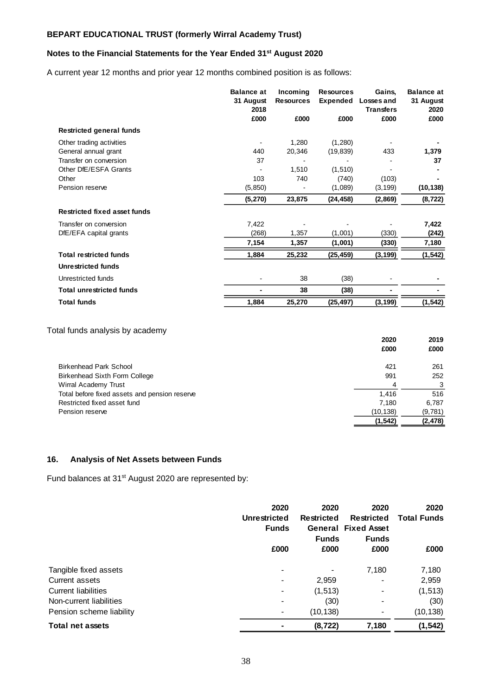# **Notes to the Financial Statements for the Year Ended 31st August 2020**

A current year 12 months and prior year 12 months combined position is as follows:

|                                     | <b>Balance at</b><br>31 August<br>2018 | Incomina<br><b>Resources</b> | <b>Resources</b><br>Expended | Gains.<br>Losses and<br><b>Transfers</b> | <b>Balance at</b><br>31 August<br>2020 |
|-------------------------------------|----------------------------------------|------------------------------|------------------------------|------------------------------------------|----------------------------------------|
|                                     | £000                                   | £000                         | £000                         | £000                                     | £000                                   |
| <b>Restricted general funds</b>     |                                        |                              |                              |                                          |                                        |
| Other trading activities            |                                        | 1,280                        | (1,280)                      |                                          |                                        |
| General annual grant                | 440                                    | 20,346                       | (19, 839)                    | 433                                      | 1,379                                  |
| Transfer on conversion              | 37                                     |                              |                              |                                          | 37                                     |
| Other DfE/ESFA Grants               |                                        | 1,510                        | (1, 510)                     |                                          |                                        |
| Other                               | 103                                    | 740                          | (740)                        | (103)                                    |                                        |
| Pension reserve                     | (5, 850)                               |                              | (1,089)                      | (3, 199)                                 | (10, 138)                              |
|                                     | (5,270)                                | 23,875                       | (24, 458)                    | (2,869)                                  | (8, 722)                               |
| <b>Restricted fixed asset funds</b> |                                        |                              |                              |                                          |                                        |
| Transfer on conversion              | 7,422                                  |                              |                              |                                          | 7,422                                  |
| DfE/EFA capital grants              | (268)                                  | 1,357                        | (1,001)                      | (330)                                    | (242)                                  |
|                                     | 7,154                                  | 1,357                        | (1,001)                      | (330)                                    | 7,180                                  |
| <b>Total restricted funds</b>       | 1,884                                  | 25,232                       | (25, 459)                    | (3, 199)                                 | (1, 542)                               |
| <b>Unrestricted funds</b>           |                                        |                              |                              |                                          |                                        |
| Unrestricted funds                  | -                                      | 38                           | (38)                         |                                          |                                        |
| <b>Total unrestricted funds</b>     |                                        | 38                           | (38)                         |                                          |                                        |
| <b>Total funds</b>                  | 1,884                                  | 25,270                       | (25, 497)                    | (3, 199)                                 | (1, 542)                               |
|                                     |                                        |                              |                              |                                          |                                        |

Total funds analysis by academy

|                                               | 2020<br>£000 | 2019<br>£000 |
|-----------------------------------------------|--------------|--------------|
| <b>Birkenhead Park School</b>                 | 421          | 261          |
| <b>Birkenhead Sixth Form College</b>          | 991          | 252          |
| Wirral Academy Trust                          | 4            | 3            |
| Total before fixed assets and pension reserve | 1.416        | 516          |
| Restricted fixed asset fund                   | 7.180        | 6,787        |
| Pension reserve                               | (10,138)     | (9,781)      |
|                                               | (1, 542)     | (2, 478)     |

# **16. Analysis of Net Assets between Funds**

Fund balances at 31<sup>st</sup> August 2020 are represented by:

|                            | 2020<br>Unrestricted<br><b>Funds</b> | 2020<br><b>Restricted</b><br><b>Funds</b> | 2020<br><b>Restricted</b><br><b>General Fixed Asset</b><br><b>Funds</b> | 2020<br><b>Total Funds</b> |
|----------------------------|--------------------------------------|-------------------------------------------|-------------------------------------------------------------------------|----------------------------|
|                            | £000                                 | £000                                      | £000                                                                    | £000                       |
| Tangible fixed assets      |                                      |                                           | 7,180                                                                   | 7,180                      |
| Current assets             |                                      | 2,959                                     |                                                                         | 2,959                      |
| <b>Current liabilities</b> |                                      | (1, 513)                                  |                                                                         | (1, 513)                   |
| Non-current liabilities    |                                      | (30)                                      |                                                                         | (30)                       |
| Pension scheme liability   | $\overline{\phantom{0}}$             | (10, 138)                                 | $\blacksquare$                                                          | (10, 138)                  |
| <b>Total net assets</b>    | -                                    | (8, 722)                                  | 7,180                                                                   | (1, 542)                   |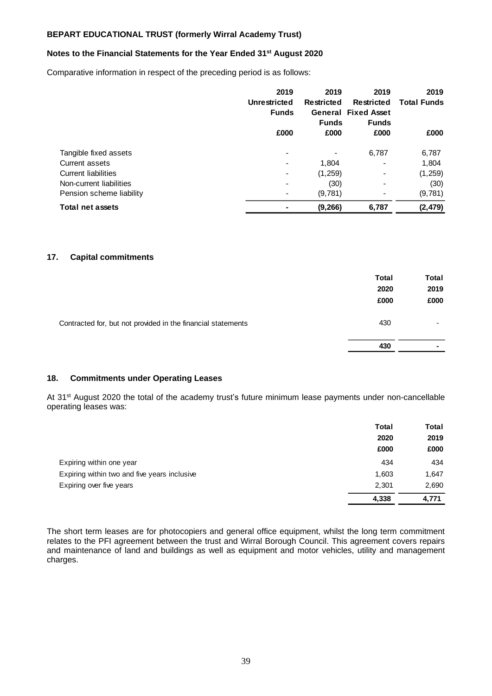### **Notes to the Financial Statements for the Year Ended 31st August 2020**

Comparative information in respect of the preceding period is as follows:

|                            | 2019<br>Unrestricted<br><b>Funds</b> | 2019<br>Restricted | 2019<br>Restricted<br><b>General Fixed Asset</b> | 2019<br><b>Total Funds</b> |
|----------------------------|--------------------------------------|--------------------|--------------------------------------------------|----------------------------|
|                            |                                      | <b>Funds</b>       | <b>Funds</b>                                     |                            |
|                            | £000                                 | £000               | £000                                             | £000                       |
| Tangible fixed assets      | $\overline{\phantom{0}}$             |                    | 6,787                                            | 6,787                      |
| Current assets             | $\overline{\phantom{a}}$             | 1,804              | $\overline{\phantom{0}}$                         | 1,804                      |
| <b>Current liabilities</b> | ٠                                    | (1,259)            | ۰                                                | (1, 259)                   |
| Non-current liabilities    | $\qquad \qquad$                      | (30)               | $\overline{\phantom{0}}$                         | (30)                       |
| Pension scheme liability   |                                      | (9,781)            | ٠                                                | (9,781)                    |
| <b>Total net assets</b>    | ۰                                    | (9, 266)           | 6,787                                            | (2, 479)                   |

#### **17. Capital commitments**

|                                                              | Total | <b>Total</b>             |
|--------------------------------------------------------------|-------|--------------------------|
|                                                              | 2020  | 2019                     |
|                                                              | £000  | £000                     |
| Contracted for, but not provided in the financial statements | 430   | $\overline{\phantom{0}}$ |
|                                                              | 430   |                          |

### **18. Commitments under Operating Leases**

At 31<sup>st</sup> August 2020 the total of the academy trust's future minimum lease payments under non-cancellable operating leases was:

|                                              | Total | Total |
|----------------------------------------------|-------|-------|
|                                              | 2020  | 2019  |
|                                              | £000  | £000  |
| Expiring within one year                     | 434   | 434   |
| Expiring within two and five years inclusive | 1,603 | 1,647 |
| Expiring over five years                     | 2,301 | 2,690 |
|                                              | 4,338 | 4,771 |

The short term leases are for photocopiers and general office equipment, whilst the long term commitment relates to the PFI agreement between the trust and Wirral Borough Council. This agreement covers repairs and maintenance of land and buildings as well as equipment and motor vehicles, utility and management charges.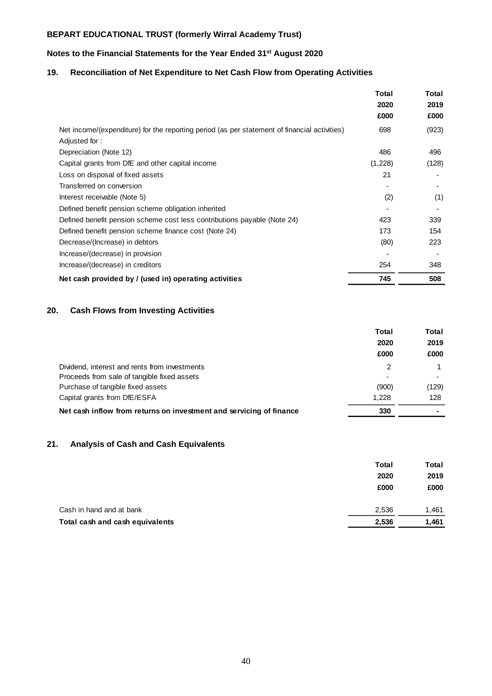# **Notes to the Financial Statements for the Year Ended 31st August 2020**

# **19. Reconciliation of Net Expenditure to Net Cash Flow from Operating Activities**

|                                                                                              | Total   | Total |
|----------------------------------------------------------------------------------------------|---------|-------|
|                                                                                              | 2020    | 2019  |
|                                                                                              | £000    | £000  |
| Net income/(expenditure) for the reporting period (as per statement of financial activities) | 698     | (923) |
| Adjusted for:                                                                                |         |       |
| Depreciation (Note 12)                                                                       | 486     | 496   |
| Capital grants from DfE and other capital income                                             | (1,228) | (128) |
| Loss on disposal of fixed assets                                                             | 21      |       |
| Transferred on conversion                                                                    |         |       |
| Interest receivable (Note 5)                                                                 | (2)     | (1)   |
| Defined benefit pension scheme obligation inherited                                          |         |       |
| Defined benefit pension scheme cost less contributions payable (Note 24)                     | 423     | 339   |
| Defined benefit pension scheme finance cost (Note 24)                                        | 173     | 154   |
| Decrease/(Increase) in debtors                                                               | (80)    | 223   |
| Increase/(decrease) in provision                                                             |         |       |
| Increase/(decrease) in creditors                                                             | 254     | 348   |
| Net cash provided by / (used in) operating activities                                        | 745     | 508   |

# **20. Cash Flows from Investing Activities**

|                                                                     | Total | Total |
|---------------------------------------------------------------------|-------|-------|
|                                                                     | 2020  | 2019  |
|                                                                     | £000  | £000  |
| Dividend, interest and rents from investments                       | 2     |       |
| Proceeds from sale of tangible fixed assets                         |       |       |
| Purchase of tangible fixed assets                                   | (900) | (129) |
| Capital grants from DfE/ESFA                                        | 1.228 | 128   |
| Net cash inflow from returns on investment and servicing of finance | 330   |       |

# **21. Analysis of Cash and Cash Equivalents**

|                                 | Total | Total |
|---------------------------------|-------|-------|
|                                 | 2020  | 2019  |
|                                 | £000  | £000  |
|                                 |       |       |
| Cash in hand and at bank        | 2,536 | 1,461 |
| Total cash and cash equivalents | 2,536 | 1,461 |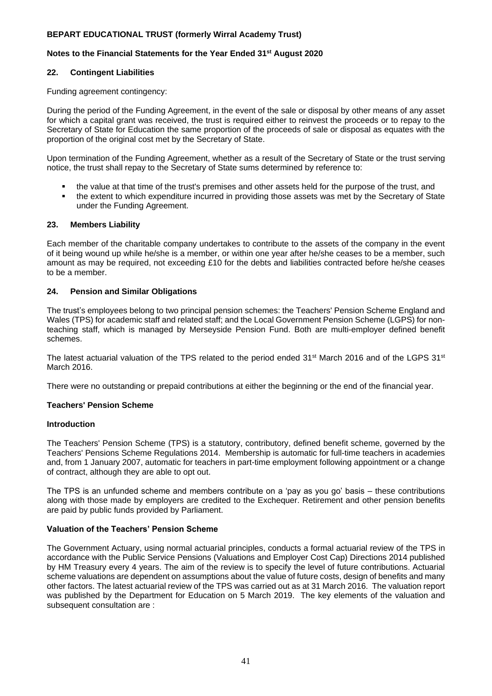# **Notes to the Financial Statements for the Year Ended 31st August 2020**

# **22. Contingent Liabilities**

Funding agreement contingency:

During the period of the Funding Agreement, in the event of the sale or disposal by other means of any asset for which a capital grant was received, the trust is required either to reinvest the proceeds or to repay to the Secretary of State for Education the same proportion of the proceeds of sale or disposal as equates with the proportion of the original cost met by the Secretary of State.

Upon termination of the Funding Agreement, whether as a result of the Secretary of State or the trust serving notice, the trust shall repay to the Secretary of State sums determined by reference to:

- the value at that time of the trust's premises and other assets held for the purpose of the trust, and
- the extent to which expenditure incurred in providing those assets was met by the Secretary of State under the Funding Agreement.

### **23. Members Liability**

Each member of the charitable company undertakes to contribute to the assets of the company in the event of it being wound up while he/she is a member, or within one year after he/she ceases to be a member, such amount as may be required, not exceeding £10 for the debts and liabilities contracted before he/she ceases to be a member.

### **24. Pension and Similar Obligations**

The trust's employees belong to two principal pension schemes: the Teachers' Pension Scheme England and Wales (TPS) for academic staff and related staff; and the Local Government Pension Scheme (LGPS) for nonteaching staff, which is managed by Merseyside Pension Fund. Both are multi-employer defined benefit schemes.

The latest actuarial valuation of the TPS related to the period ended 31<sup>st</sup> March 2016 and of the LGPS 31<sup>st</sup> March 2016.

There were no outstanding or prepaid contributions at either the beginning or the end of the financial year.

#### **Teachers' Pension Scheme**

#### **Introduction**

The Teachers' Pension Scheme (TPS) is a statutory, contributory, defined benefit scheme, governed by the Teachers' Pensions Scheme Regulations 2014. Membership is automatic for full-time teachers in academies and, from 1 January 2007, automatic for teachers in part-time employment following appointment or a change of contract, although they are able to opt out.

The TPS is an unfunded scheme and members contribute on a 'pay as you go' basis – these contributions along with those made by employers are credited to the Exchequer. Retirement and other pension benefits are paid by public funds provided by Parliament.

# **Valuation of the Teachers' Pension Scheme**

The Government Actuary, using normal actuarial principles, conducts a formal actuarial review of the TPS in accordance with the Public Service Pensions (Valuations and Employer Cost Cap) Directions 2014 published by HM Treasury every 4 years. The aim of the review is to specify the level of future contributions. Actuarial scheme valuations are dependent on assumptions about the value of future costs, design of benefits and many other factors. The latest actuarial review of the TPS was carried out as at 31 March 2016. The valuation report was published by the Department for Education on 5 March 2019. The key elements of the valuation and subsequent consultation are :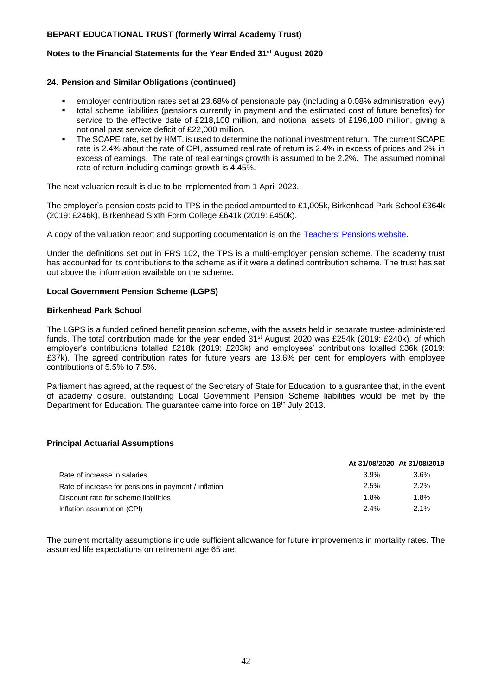### **Notes to the Financial Statements for the Year Ended 31st August 2020**

#### **24. Pension and Similar Obligations (continued)**

- employer contribution rates set at 23.68% of pensionable pay (including a 0.08% administration levy)
- total scheme liabilities (pensions currently in payment and the estimated cost of future benefits) for service to the effective date of £218,100 million, and notional assets of £196,100 million, giving a notional past service deficit of £22,000 million.
- The SCAPE rate, set by HMT, is used to determine the notional investment return. The current SCAPE rate is 2.4% about the rate of CPI, assumed real rate of return is 2.4% in excess of prices and 2% in excess of earnings. The rate of real earnings growth is assumed to be 2.2%. The assumed nominal rate of return including earnings growth is 4.45%.

The next valuation result is due to be implemented from 1 April 2023.

The employer's pension costs paid to TPS in the period amounted to £1,005k, Birkenhead Park School £364k (2019: £246k), Birkenhead Sixth Form College £641k (2019: £450k).

A copy of the valuation report and supporting documentation is on the [Teachers' Pensions website.](https://www.teacherspensions.co.uk/news/employers/2014/06/publication-of-the-valuation-report.aspx)

Under the definitions set out in FRS 102, the TPS is a multi-employer pension scheme. The academy trust has accounted for its contributions to the scheme as if it were a defined contribution scheme. The trust has set out above the information available on the scheme.

### **Local Government Pension Scheme (LGPS)**

#### **Birkenhead Park School**

The LGPS is a funded defined benefit pension scheme, with the assets held in separate trustee-administered funds. The total contribution made for the year ended  $31<sup>st</sup>$  August 2020 was £254k (2019: £240k), of which employer's contributions totalled £218k (2019: £203k) and employees' contributions totalled £36k (2019: £37k). The agreed contribution rates for future years are 13.6% per cent for employers with employee contributions of 5.5% to 7.5%.

Parliament has agreed, at the request of the Secretary of State for Education, to a guarantee that, in the event of academy closure, outstanding Local Government Pension Scheme liabilities would be met by the Department for Education. The guarantee came into force on 18<sup>th</sup> July 2013.

#### **Principal Actuarial Assumptions**

|                                                      | At 31/08/2020 At 31/08/2019 |         |
|------------------------------------------------------|-----------------------------|---------|
| Rate of increase in salaries                         | 3.9%                        | 3.6%    |
| Rate of increase for pensions in payment / inflation | 2.5%                        | 2.2%    |
| Discount rate for scheme liabilities                 | 1.8%                        | 1.8%    |
| Inflation assumption (CPI)                           | $2.4\%$                     | $2.1\%$ |

The current mortality assumptions include sufficient allowance for future improvements in mortality rates. The assumed life expectations on retirement age 65 are: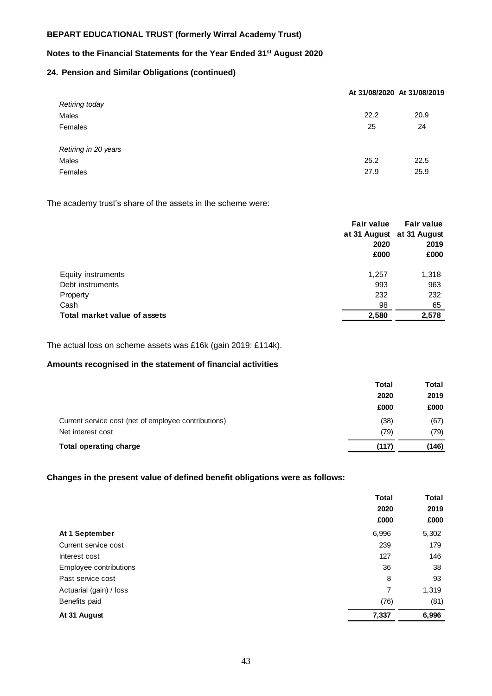# **Notes to the Financial Statements for the Year Ended 31st August 2020**

# **24. Pension and Similar Obligations (continued)**

|                       | At 31/08/2020 At 31/08/2019 |      |
|-----------------------|-----------------------------|------|
| <b>Retiring today</b> |                             |      |
| Males                 | 22.2                        | 20.9 |
| Females               | 25                          | 24   |
| Retiring in 20 years  |                             |      |
| Males                 | 25.2                        | 22.5 |
| Females               | 27.9                        | 25.9 |
|                       |                             |      |

The academy trust's share of the assets in the scheme were:

|                              | <b>Fair value</b><br>2020<br>£000 | <b>Fair value</b><br>at 31 August at 31 August<br>2019<br>£000 |
|------------------------------|-----------------------------------|----------------------------------------------------------------|
| Equity instruments           | 1,257                             | 1,318                                                          |
| Debt instruments             | 993                               | 963                                                            |
| Property                     | 232                               | 232                                                            |
| Cash                         | 98                                | 65                                                             |
| Total market value of assets | 2,580                             | 2,578                                                          |

The actual loss on scheme assets was £16k (gain 2019: £114k).

### **Amounts recognised in the statement of financial activities**

|                                                      | <b>Total</b> | Total |
|------------------------------------------------------|--------------|-------|
|                                                      | 2020         | 2019  |
|                                                      | £000         | £000  |
| Current service cost (net of employee contributions) | (38)         | (67)  |
| Net interest cost                                    | (79)         | (79)  |
| <b>Total operating charge</b>                        | (117)        | (146) |

**Changes in the present value of defined benefit obligations were as follows:**

|                         | <b>Total</b> | Total        |
|-------------------------|--------------|--------------|
|                         | 2020         | 2019<br>£000 |
|                         | £000         |              |
| At 1 September          | 6,996        | 5,302        |
| Current service cost    | 239          | 179          |
| Interest cost           | 127          | 146          |
| Employee contributions  | 36           | 38           |
| Past service cost       | 8            | 93           |
| Actuarial (gain) / loss | 7            | 1,319        |
| Benefits paid           | (76)         | (81)         |
| At 31 August            | 7,337        | 6,996        |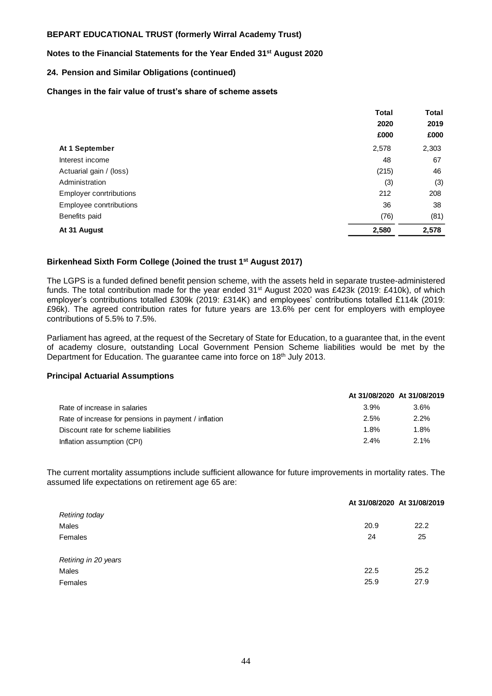#### **Notes to the Financial Statements for the Year Ended 31st August 2020**

### **24. Pension and Similar Obligations (continued)**

#### **Changes in the fair value of trust's share of scheme assets**

|                         | <b>Total</b> | <b>Total</b> |
|-------------------------|--------------|--------------|
|                         | 2020         | 2019         |
|                         | £000         | £000         |
| At 1 September          | 2,578        | 2,303        |
| Interest income         | 48           | 67           |
| Actuarial gain / (loss) | (215)        | 46           |
| Administration          | (3)          | (3)          |
| Employer conrtributions | 212          | 208          |
| Employee conrtributions | 36           | 38           |
| Benefits paid           | (76)         | (81)         |
| At 31 August            | 2,580        | 2,578        |

# **Birkenhead Sixth Form College (Joined the trust 1st August 2017)**

The LGPS is a funded defined benefit pension scheme, with the assets held in separate trustee-administered funds. The total contribution made for the year ended  $31<sup>st</sup>$  August 2020 was £423k (2019: £410k), of which employer's contributions totalled £309k (2019: £314K) and employees' contributions totalled £114k (2019: £96k). The agreed contribution rates for future years are 13.6% per cent for employers with employee contributions of 5.5% to 7.5%.

Parliament has agreed, at the request of the Secretary of State for Education, to a guarantee that, in the event of academy closure, outstanding Local Government Pension Scheme liabilities would be met by the Department for Education. The guarantee came into force on 18<sup>th</sup> July 2013.

#### **Principal Actuarial Assumptions**

|                                                      | At 31/08/2020 At 31/08/2019 |      |
|------------------------------------------------------|-----------------------------|------|
| Rate of increase in salaries                         | $3.9\%$                     | 3.6% |
| Rate of increase for pensions in payment / inflation | 2.5%                        | 2.2% |
| Discount rate for scheme liabilities                 | 1.8%                        | 1.8% |
| Inflation assumption (CPI)                           | $2.4\%$                     | 2.1% |

The current mortality assumptions include sufficient allowance for future improvements in mortality rates. The assumed life expectations on retirement age 65 are:

|                      | At 31/08/2020 At 31/08/2019 |      |
|----------------------|-----------------------------|------|
| Retiring today       |                             |      |
| Males                | 20.9                        | 22.2 |
| Females              | 24                          | 25   |
| Retiring in 20 years |                             |      |
| Males                | 22.5                        | 25.2 |
| Females              | 25.9                        | 27.9 |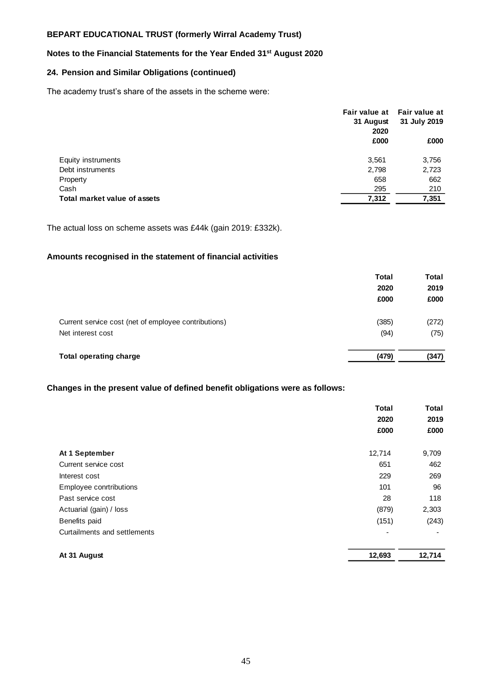# **Notes to the Financial Statements for the Year Ended 31st August 2020**

# **24. Pension and Similar Obligations (continued)**

The academy trust's share of the assets in the scheme were:

|                              | 31 August<br>2020<br>£000 | Fair value at Fair value at<br>31 July 2019<br>£000 |
|------------------------------|---------------------------|-----------------------------------------------------|
| Equity instruments           | 3,561                     | 3,756                                               |
| Debt instruments             | 2,798                     | 2,723                                               |
| Property                     | 658                       | 662                                                 |
| Cash                         | 295                       | 210                                                 |
| Total market value of assets | 7,312                     | 7,351                                               |

The actual loss on scheme assets was £44k (gain 2019: £332k).

### **Amounts recognised in the statement of financial activities**

|                                                      | <b>Total</b> | <b>Total</b> |
|------------------------------------------------------|--------------|--------------|
|                                                      | 2020         | 2019         |
|                                                      | £000         | £000         |
| Current service cost (net of employee contributions) | (385)        | (272)        |
| Net interest cost                                    | (94)         | (75)         |
| <b>Total operating charge</b>                        | (479)        | (347)        |

# **Changes in the present value of defined benefit obligations were as follows:**

|                              | <b>Total</b><br>2020<br>£000 | Total<br>2019<br>£000 |
|------------------------------|------------------------------|-----------------------|
|                              |                              |                       |
|                              |                              |                       |
| At 1 September               | 12,714                       | 9,709                 |
| Current service cost         | 651                          | 462                   |
| Interest cost                | 229                          | 269                   |
| Employee conrtributions      | 101                          | 96                    |
| Past service cost            | 28                           | 118                   |
| Actuarial (gain) / loss      | (879)                        | 2,303                 |
| Benefits paid                | (151)                        | (243)                 |
| Curtailments and settlements | ۰                            | ٠                     |
| At 31 August                 | 12,693                       | 12,714                |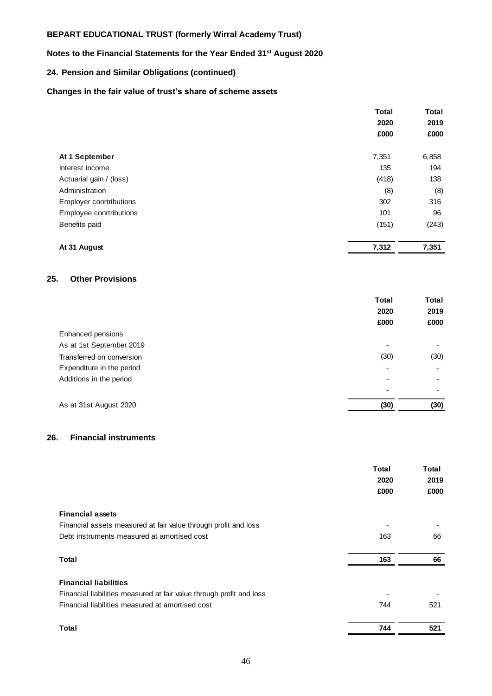# **Notes to the Financial Statements for the Year Ended 31st August 2020**

# **24. Pension and Similar Obligations (continued)**

# **Changes in the fair value of trust's share of scheme assets**

|                                | Total        | Total |
|--------------------------------|--------------|-------|
|                                | 2020         | 2019  |
|                                | £000         | £000  |
| At 1 September                 | 7,351        | 6,858 |
| Interest income                | 135          | 194   |
| Actuarial gain / (loss)        | (418)        | 138   |
| Administration                 | (8)          | (8)   |
| Employer conrtributions        | 302          | 316   |
| Employee conrtributions        | 101          | 96    |
| Benefits paid                  | (151)        | (243) |
| At 31 August                   | 7,312        | 7,351 |
| <b>Other Provisions</b><br>25. |              |       |
|                                | <b>Total</b> | Total |
|                                | 2020         | 2019  |
|                                | £000         | £000  |

| Enhanced pensions         |      |      |
|---------------------------|------|------|
| As at 1st September 2019  |      |      |
| Transferred on conversion | (30) | (30) |
| Expenditure in the period | -    | -    |
| Additions in the period   | -    |      |
|                           | ۰    |      |
| As at 31st August 2020    | (30) | (30) |

# **26. Financial instruments**

|                                                                      | <b>Total</b><br>2020<br>£000 | Total<br>2019<br>£000 |
|----------------------------------------------------------------------|------------------------------|-----------------------|
| <b>Financial assets</b>                                              |                              |                       |
| Financial assets measured at fair value through profit and loss      |                              |                       |
| Debt instruments measured at amortised cost                          | 163                          | 66                    |
| Total                                                                | 163                          | 66                    |
| <b>Financial liabilities</b>                                         |                              |                       |
| Financial liabilities measured at fair value through profit and loss |                              |                       |
| Financial liabilities measured at amortised cost                     | 744                          | 521                   |
| Total                                                                | 744                          | 521                   |